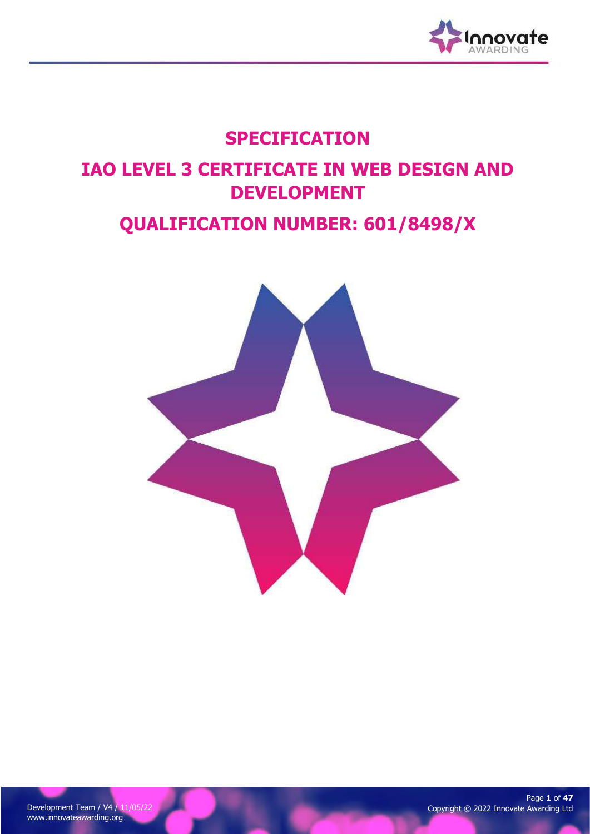

## SPECIFICATION

# IAO LEVEL 3 CERTIFICATE IN WEB DESIGN AND DEVELOPMENT

## QUALIFICATION NUMBER: 601/8498/X

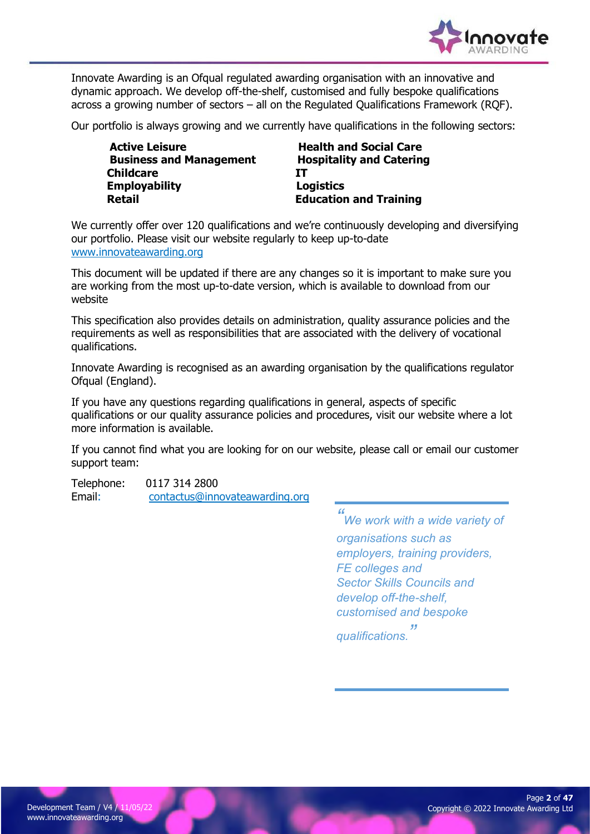

Innovate Awarding is an Ofqual regulated awarding organisation with an innovative and dynamic approach. We develop off-the-shelf, customised and fully bespoke qualifications across a growing number of sectors – all on the Regulated Qualifications Framework (RQF).

Our portfolio is always growing and we currently have qualifications in the following sectors:

| <b>Active Leisure</b>          | <b>Health and Social Care</b>   |
|--------------------------------|---------------------------------|
| <b>Business and Management</b> | <b>Hospitality and Catering</b> |
| <b>Childcare</b>               | TT.                             |
| <b>Employability</b>           | <b>Logistics</b>                |
| <b>Retail</b>                  | <b>Education and Training</b>   |

We currently offer over 120 qualifications and we're continuously developing and diversifying our portfolio. Please visit our website regularly to keep up-to-date www.innovateawarding.org

This document will be updated if there are any changes so it is important to make sure you are working from the most up-to-date version, which is available to download from our website

This specification also provides details on administration, quality assurance policies and the requirements as well as responsibilities that are associated with the delivery of vocational qualifications.

Innovate Awarding is recognised as an awarding organisation by the qualifications regulator Ofqual (England).

If you have any questions regarding qualifications in general, aspects of specific qualifications or our quality assurance policies and procedures, visit our website where a lot more information is available.

If you cannot find what you are looking for on our website, please call or email our customer support team:

Telephone: 0117 314 2800 Email: contactus@innovateawarding.org

> " We work with a wide variety of organisations such as employers, training providers, FE colleges and Sector Skills Councils and develop off-the-shelf, customised and bespoke qualifications. "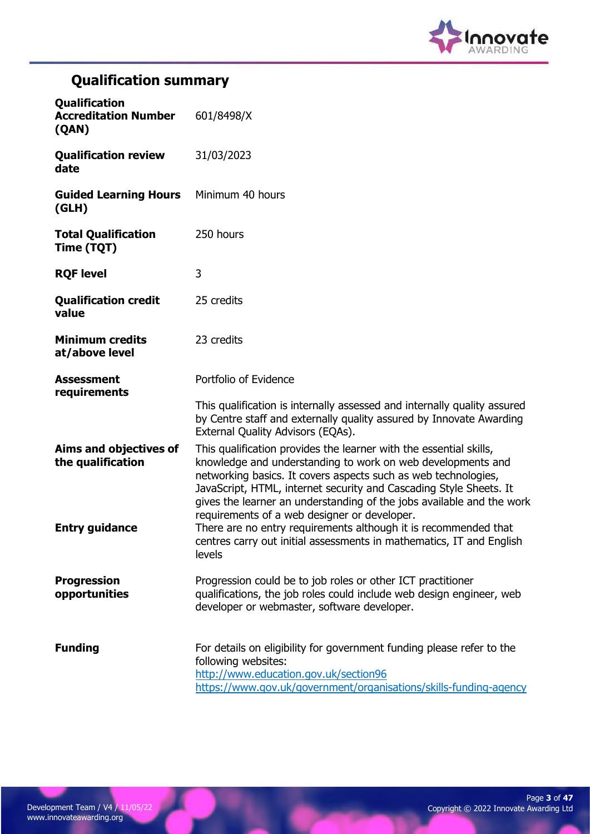

## Qualification summary

| <b>Qualification</b><br><b>Accreditation Number</b><br>(QAN) | 601/8498/X                                                                                                                                                                                                                                                                                                                                                                                         |
|--------------------------------------------------------------|----------------------------------------------------------------------------------------------------------------------------------------------------------------------------------------------------------------------------------------------------------------------------------------------------------------------------------------------------------------------------------------------------|
| <b>Qualification review</b><br>date                          | 31/03/2023                                                                                                                                                                                                                                                                                                                                                                                         |
| <b>Guided Learning Hours</b><br>(GLH)                        | Minimum 40 hours                                                                                                                                                                                                                                                                                                                                                                                   |
| <b>Total Qualification</b><br>Time (TQT)                     | 250 hours                                                                                                                                                                                                                                                                                                                                                                                          |
| <b>RQF level</b>                                             | 3                                                                                                                                                                                                                                                                                                                                                                                                  |
| <b>Qualification credit</b><br>value                         | 25 credits                                                                                                                                                                                                                                                                                                                                                                                         |
| <b>Minimum credits</b><br>at/above level                     | 23 credits                                                                                                                                                                                                                                                                                                                                                                                         |
| <b>Assessment</b><br>requirements                            | Portfolio of Evidence                                                                                                                                                                                                                                                                                                                                                                              |
|                                                              | This qualification is internally assessed and internally quality assured<br>by Centre staff and externally quality assured by Innovate Awarding<br>External Quality Advisors (EQAs).                                                                                                                                                                                                               |
| Aims and objectives of<br>the qualification                  | This qualification provides the learner with the essential skills,<br>knowledge and understanding to work on web developments and<br>networking basics. It covers aspects such as web technologies,<br>JavaScript, HTML, internet security and Cascading Style Sheets. It<br>gives the learner an understanding of the jobs available and the work<br>requirements of a web designer or developer. |
| <b>Entry guidance</b>                                        | There are no entry requirements although it is recommended that<br>centres carry out initial assessments in mathematics, IT and English<br>levels                                                                                                                                                                                                                                                  |
| <b>Progression</b><br>opportunities                          | Progression could be to job roles or other ICT practitioner<br>qualifications, the job roles could include web design engineer, web<br>developer or webmaster, software developer.                                                                                                                                                                                                                 |
| <b>Funding</b>                                               | For details on eligibility for government funding please refer to the<br>following websites:<br>http://www.education.gov.uk/section96<br>https://www.gov.uk/government/organisations/skills-funding-agency                                                                                                                                                                                         |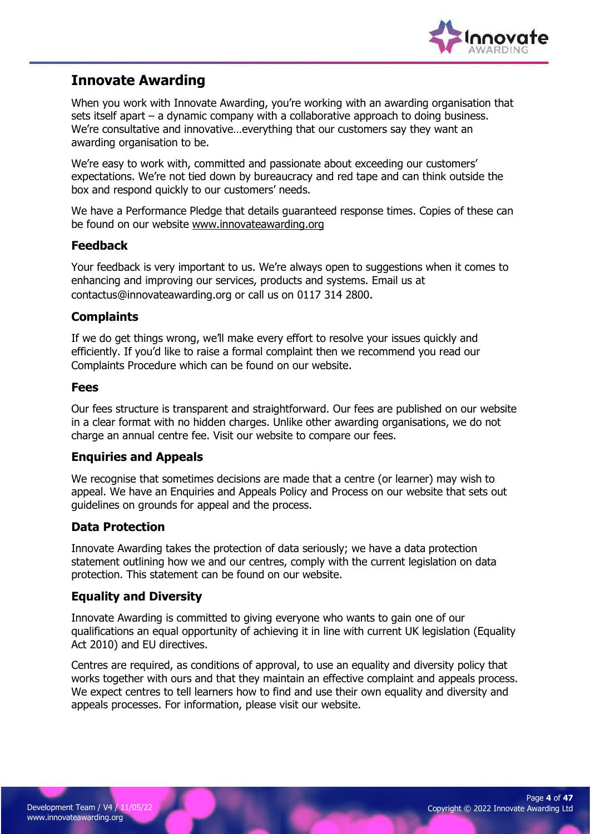

### Innovate Awarding

When you work with Innovate Awarding, you're working with an awarding organisation that sets itself apart – a dynamic company with a collaborative approach to doing business. We're consultative and innovative…everything that our customers say they want an awarding organisation to be.

We're easy to work with, committed and passionate about exceeding our customers' expectations. We're not tied down by bureaucracy and red tape and can think outside the box and respond quickly to our customers' needs.

We have a Performance Pledge that details guaranteed response times. Copies of these can be found on our website www.innovateawarding.org

#### Feedback

Your feedback is very important to us. We're always open to suggestions when it comes to enhancing and improving our services, products and systems. Email us at contactus@innovateawarding.org or call us on 0117 314 2800.

#### **Complaints**

If we do get things wrong, we'll make every effort to resolve your issues quickly and efficiently. If you'd like to raise a formal complaint then we recommend you read our Complaints Procedure which can be found on our website.

#### Fees

Our fees structure is transparent and straightforward. Our fees are published on our website in a clear format with no hidden charges. Unlike other awarding organisations, we do not charge an annual centre fee. Visit our website to compare our fees.

#### Enquiries and Appeals

We recognise that sometimes decisions are made that a centre (or learner) may wish to appeal. We have an Enquiries and Appeals Policy and Process on our website that sets out guidelines on grounds for appeal and the process.

#### Data Protection

Innovate Awarding takes the protection of data seriously; we have a data protection statement outlining how we and our centres, comply with the current legislation on data protection. This statement can be found on our website.

#### Equality and Diversity

Innovate Awarding is committed to giving everyone who wants to gain one of our qualifications an equal opportunity of achieving it in line with current UK legislation (Equality Act 2010) and EU directives.

Centres are required, as conditions of approval, to use an equality and diversity policy that works together with ours and that they maintain an effective complaint and appeals process. We expect centres to tell learners how to find and use their own equality and diversity and appeals processes. For information, please visit our website.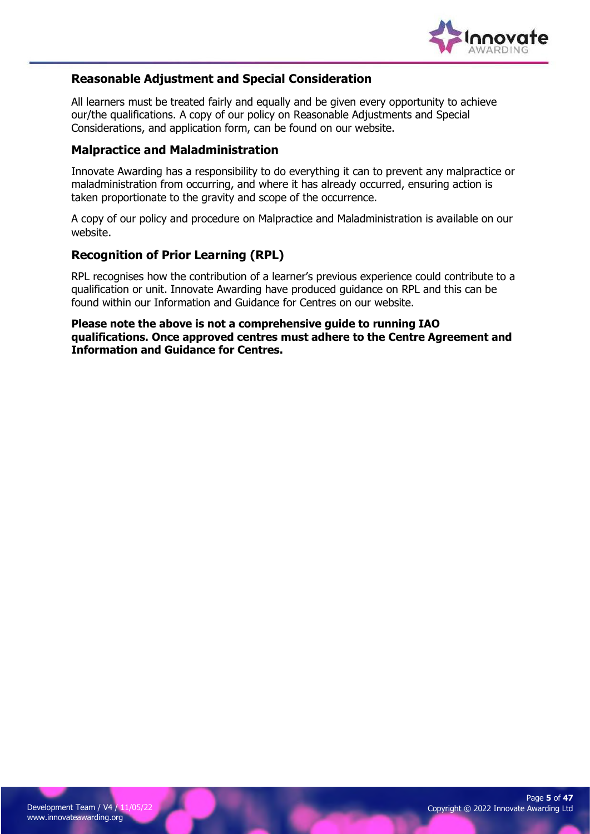

#### Reasonable Adjustment and Special Consideration

All learners must be treated fairly and equally and be given every opportunity to achieve our/the qualifications. A copy of our policy on Reasonable Adjustments and Special Considerations, and application form, can be found on our website.

#### Malpractice and Maladministration

Innovate Awarding has a responsibility to do everything it can to prevent any malpractice or maladministration from occurring, and where it has already occurred, ensuring action is taken proportionate to the gravity and scope of the occurrence.

A copy of our policy and procedure on Malpractice and Maladministration is available on our website.

#### Recognition of Prior Learning (RPL)

RPL recognises how the contribution of a learner's previous experience could contribute to a qualification or unit. Innovate Awarding have produced guidance on RPL and this can be found within our Information and Guidance for Centres on our website.

Please note the above is not a comprehensive guide to running IAO qualifications. Once approved centres must adhere to the Centre Agreement and Information and Guidance for Centres.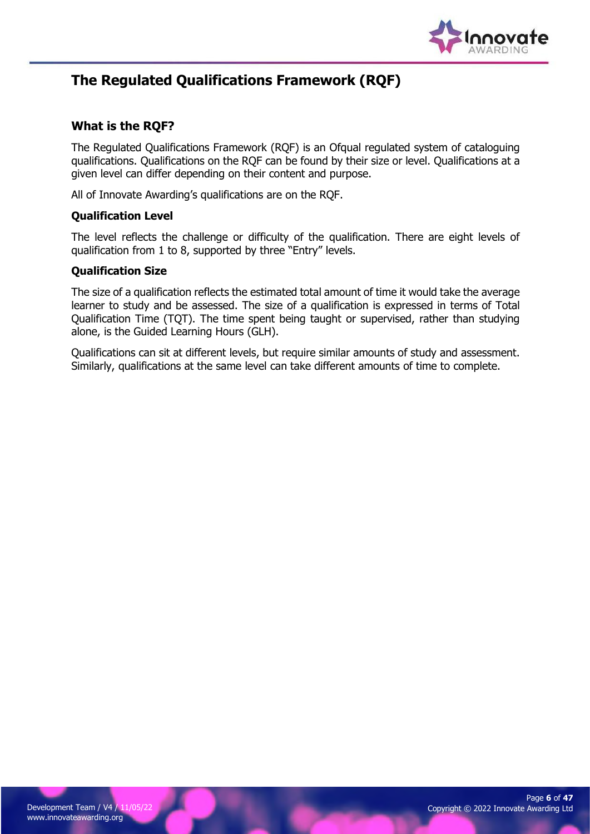

### The Regulated Qualifications Framework (RQF)

#### What is the RQF?

The Regulated Qualifications Framework (RQF) is an Ofqual regulated system of cataloguing qualifications. Qualifications on the RQF can be found by their size or level. Qualifications at a given level can differ depending on their content and purpose.

All of Innovate Awarding's qualifications are on the RQF.

#### Qualification Level

The level reflects the challenge or difficulty of the qualification. There are eight levels of qualification from 1 to 8, supported by three "Entry" levels.

#### Qualification Size

The size of a qualification reflects the estimated total amount of time it would take the average learner to study and be assessed. The size of a qualification is expressed in terms of Total Qualification Time (TQT). The time spent being taught or supervised, rather than studying alone, is the Guided Learning Hours (GLH).

Qualifications can sit at different levels, but require similar amounts of study and assessment. Similarly, qualifications at the same level can take different amounts of time to complete.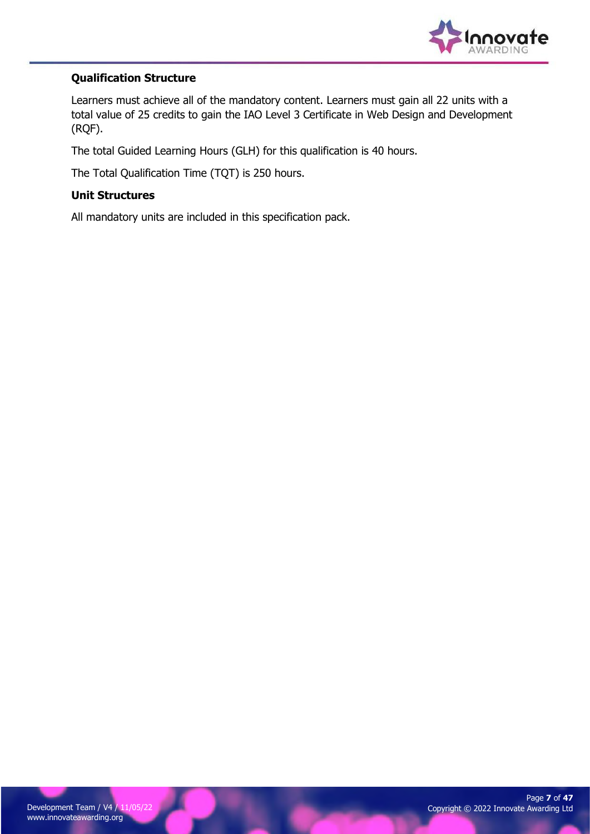

#### Qualification Structure

Learners must achieve all of the mandatory content. Learners must gain all 22 units with a total value of 25 credits to gain the IAO Level 3 Certificate in Web Design and Development (RQF).

The total Guided Learning Hours (GLH) for this qualification is 40 hours.

The Total Qualification Time (TQT) is 250 hours.

#### Unit Structures

All mandatory units are included in this specification pack.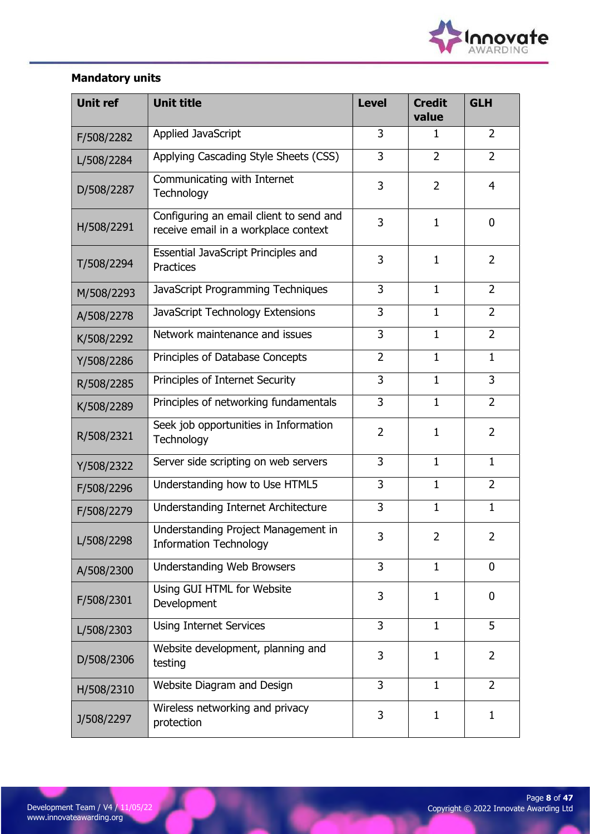

### Mandatory units

| <b>Unit ref</b> | <b>Unit title</b>                                                               | <b>Level</b>   | <b>Credit</b><br>value | <b>GLH</b>     |
|-----------------|---------------------------------------------------------------------------------|----------------|------------------------|----------------|
| F/508/2282      | Applied JavaScript                                                              | 3              | $\mathbf{1}$           | $\overline{2}$ |
| L/508/2284      | Applying Cascading Style Sheets (CSS)                                           | 3              | $\overline{2}$         | $\overline{2}$ |
| D/508/2287      | Communicating with Internet<br>Technology                                       | 3              | $\overline{2}$         | $\overline{4}$ |
| H/508/2291      | Configuring an email client to send and<br>receive email in a workplace context | 3              | $\mathbf{1}$           | $\mathbf 0$    |
| T/508/2294      | Essential JavaScript Principles and<br><b>Practices</b>                         | 3              | $\mathbf{1}$           | $\overline{2}$ |
| M/508/2293      | JavaScript Programming Techniques                                               | 3              | $\mathbf{1}$           | $\overline{2}$ |
| A/508/2278      | JavaScript Technology Extensions                                                | 3              | $\mathbf{1}$           | $\overline{2}$ |
| K/508/2292      | Network maintenance and issues                                                  | 3              | $\mathbf{1}$           | $\overline{2}$ |
| Y/508/2286      | Principles of Database Concepts                                                 | $\overline{2}$ | $\mathbf{1}$           | $\mathbf{1}$   |
| R/508/2285      | Principles of Internet Security                                                 | 3              | $\mathbf{1}$           | 3              |
| K/508/2289      | Principles of networking fundamentals                                           | 3              | $\mathbf{1}$           | $\overline{2}$ |
| R/508/2321      | Seek job opportunities in Information<br>Technology                             | $\overline{2}$ | $\mathbf{1}$           | $\overline{2}$ |
| Y/508/2322      | Server side scripting on web servers                                            | 3              | $\mathbf{1}$           | $\mathbf{1}$   |
| F/508/2296      | Understanding how to Use HTML5                                                  | 3              | $\mathbf{1}$           | $\overline{2}$ |
| F/508/2279      | Understanding Internet Architecture                                             | 3              | $\mathbf{1}$           | $\mathbf{1}$   |
| L/508/2298      | Understanding Project Management in<br><b>Information Technology</b>            | 3              | $\overline{2}$         | 2              |
| A/508/2300      | Understanding Web Browsers                                                      | 3              | $\mathbf{1}$           | $\mathbf 0$    |
| F/508/2301      | Using GUI HTML for Website<br>Development                                       | 3              | 1                      | 0              |
| L/508/2303      | <b>Using Internet Services</b>                                                  | 3              | $\mathbf{1}$           | 5              |
| D/508/2306      | Website development, planning and<br>testing                                    | 3              | 1                      | 2              |
| H/508/2310      | Website Diagram and Design                                                      | 3              | $\mathbf{1}$           | $\overline{2}$ |
| J/508/2297      | Wireless networking and privacy<br>protection                                   | 3              | 1                      | 1              |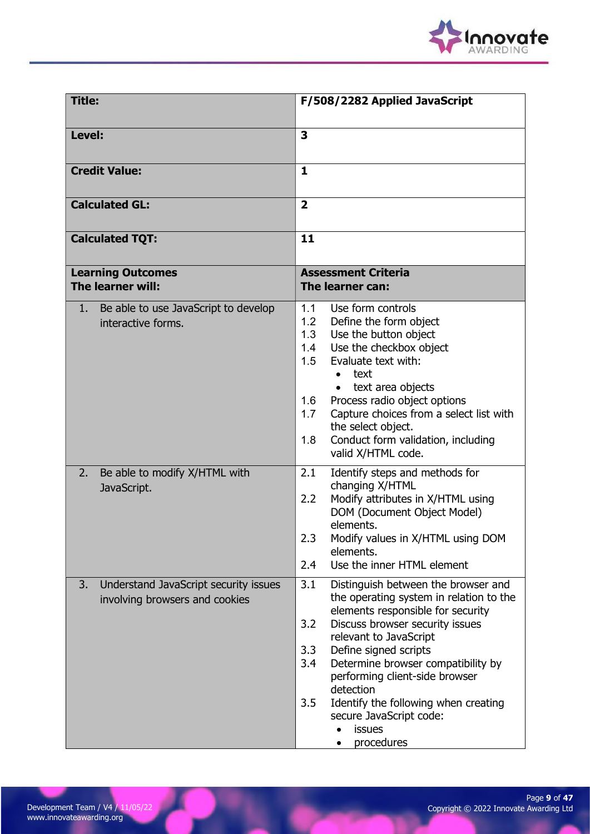

| <b>Title:</b>                                                                 | F/508/2282 Applied JavaScript                                                                                                                                                                                                                                                                                                                                                                                                       |  |  |
|-------------------------------------------------------------------------------|-------------------------------------------------------------------------------------------------------------------------------------------------------------------------------------------------------------------------------------------------------------------------------------------------------------------------------------------------------------------------------------------------------------------------------------|--|--|
| Level:                                                                        | $\overline{\mathbf{3}}$                                                                                                                                                                                                                                                                                                                                                                                                             |  |  |
| <b>Credit Value:</b>                                                          | $\mathbf{1}$                                                                                                                                                                                                                                                                                                                                                                                                                        |  |  |
| <b>Calculated GL:</b>                                                         | $\overline{2}$                                                                                                                                                                                                                                                                                                                                                                                                                      |  |  |
| <b>Calculated TQT:</b>                                                        | 11                                                                                                                                                                                                                                                                                                                                                                                                                                  |  |  |
| <b>Learning Outcomes</b><br>The learner will:                                 | <b>Assessment Criteria</b><br>The learner can:                                                                                                                                                                                                                                                                                                                                                                                      |  |  |
| Be able to use JavaScript to develop<br>1.<br>interactive forms.              | 1.1<br>Use form controls<br>1.2<br>Define the form object<br>1.3<br>Use the button object<br>1.4<br>Use the checkbox object<br>Evaluate text with:<br>1.5<br>text<br>text area objects<br>$\bullet$<br>Process radio object options<br>1.6<br>Capture choices from a select list with<br>1.7<br>the select object.<br>1.8<br>Conduct form validation, including<br>valid X/HTML code.                                               |  |  |
| Be able to modify X/HTML with<br>2.<br>JavaScript.                            | Identify steps and methods for<br>2.1<br>changing X/HTML<br>Modify attributes in X/HTML using<br>2.2<br>DOM (Document Object Model)<br>elements.<br>Modify values in X/HTML using DOM<br>2.3<br>elements.<br>2.4<br>Use the inner HTML element                                                                                                                                                                                      |  |  |
| Understand JavaScript security issues<br>3.<br>involving browsers and cookies | 3.1<br>Distinguish between the browser and<br>the operating system in relation to the<br>elements responsible for security<br>Discuss browser security issues<br>3.2<br>relevant to JavaScript<br>3.3<br>Define signed scripts<br>Determine browser compatibility by<br>3.4<br>performing client-side browser<br>detection<br>3.5<br>Identify the following when creating<br>secure JavaScript code:<br><b>issues</b><br>procedures |  |  |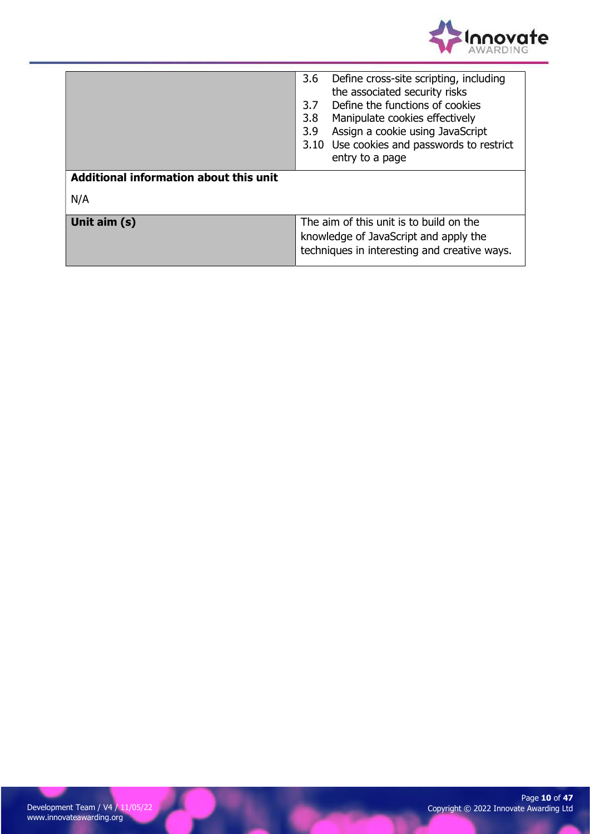

| Additional information about this unit | 3.6<br>Define cross-site scripting, including<br>the associated security risks<br>Define the functions of cookies<br>3.7<br>Manipulate cookies effectively<br>3.8<br>Assign a cookie using JavaScript<br>3.9<br>3.10 Use cookies and passwords to restrict<br>entry to a page |  |
|----------------------------------------|-------------------------------------------------------------------------------------------------------------------------------------------------------------------------------------------------------------------------------------------------------------------------------|--|
|                                        |                                                                                                                                                                                                                                                                               |  |
| N/A                                    |                                                                                                                                                                                                                                                                               |  |
|                                        |                                                                                                                                                                                                                                                                               |  |
| Unit aim (s)                           | The aim of this unit is to build on the<br>knowledge of JavaScript and apply the<br>techniques in interesting and creative ways.                                                                                                                                              |  |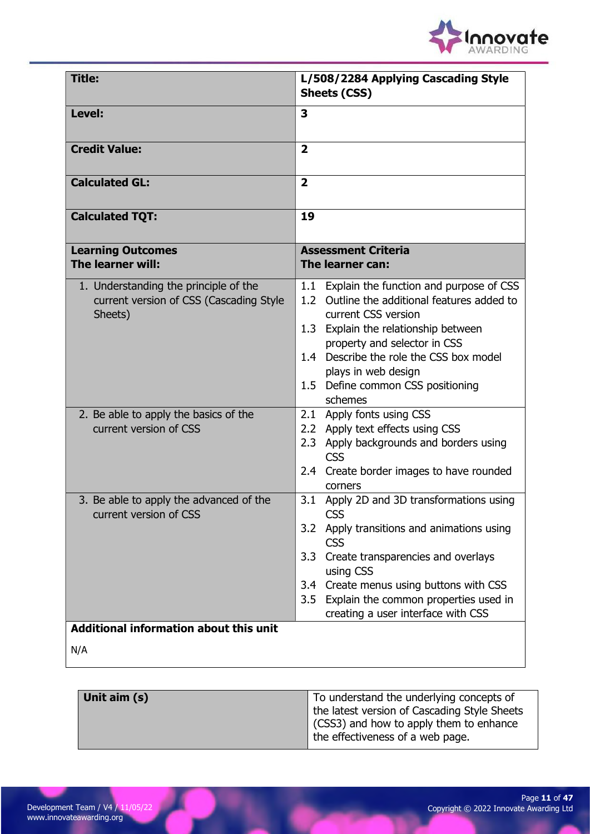

| <b>Title:</b>                                                                                               | L/508/2284 Applying Cascading Style<br><b>Sheets (CSS)</b>                                                                                                                                                                                                                                                         |
|-------------------------------------------------------------------------------------------------------------|--------------------------------------------------------------------------------------------------------------------------------------------------------------------------------------------------------------------------------------------------------------------------------------------------------------------|
| Level:                                                                                                      | 3                                                                                                                                                                                                                                                                                                                  |
| <b>Credit Value:</b>                                                                                        | $\overline{2}$                                                                                                                                                                                                                                                                                                     |
| <b>Calculated GL:</b>                                                                                       | $\overline{\mathbf{2}}$                                                                                                                                                                                                                                                                                            |
| <b>Calculated TQT:</b>                                                                                      | 19                                                                                                                                                                                                                                                                                                                 |
| <b>Learning Outcomes</b><br>The learner will:                                                               | <b>Assessment Criteria</b><br>The learner can:                                                                                                                                                                                                                                                                     |
| 1. Understanding the principle of the<br>current version of CSS (Cascading Style<br>Sheets)                 | Explain the function and purpose of CSS<br>1.1<br>Outline the additional features added to<br>1.2<br>current CSS version<br>1.3 Explain the relationship between<br>property and selector in CSS<br>1.4 Describe the role the CSS box model<br>plays in web design<br>1.5 Define common CSS positioning<br>schemes |
| 2. Be able to apply the basics of the<br>current version of CSS                                             | 2.1 Apply fonts using CSS<br>2.2 Apply text effects using CSS<br>2.3 Apply backgrounds and borders using<br><b>CSS</b><br>2.4 Create border images to have rounded<br>corners                                                                                                                                      |
| 3. Be able to apply the advanced of the<br>current version of CSS<br>Additional information about this unit | 3.1 Apply 2D and 3D transformations using<br><b>CSS</b><br>3.2 Apply transitions and animations using<br><b>CSS</b><br>Create transparencies and overlays<br>3.3<br>using CSS<br>Create menus using buttons with CSS<br>3.4<br>3.5 Explain the common properties used in<br>creating a user interface with CSS     |
| N/A                                                                                                         |                                                                                                                                                                                                                                                                                                                    |

| Unit aim (s) | To understand the underlying concepts of            |
|--------------|-----------------------------------------------------|
|              | the latest version of Cascading Style Sheets        |
|              | $\parallel$ (CSS3) and how to apply them to enhance |
|              | the effectiveness of a web page.                    |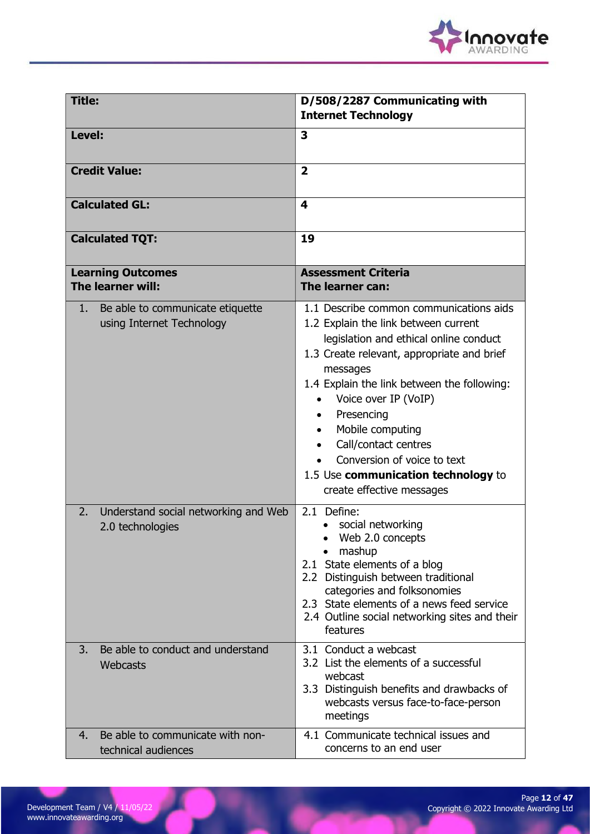

| <b>Title:</b>                                                       | D/508/2287 Communicating with                                                                                                                                                                                                                                                                                                                                                                                           |
|---------------------------------------------------------------------|-------------------------------------------------------------------------------------------------------------------------------------------------------------------------------------------------------------------------------------------------------------------------------------------------------------------------------------------------------------------------------------------------------------------------|
|                                                                     | <b>Internet Technology</b>                                                                                                                                                                                                                                                                                                                                                                                              |
| Level:                                                              | $\overline{\mathbf{3}}$                                                                                                                                                                                                                                                                                                                                                                                                 |
| <b>Credit Value:</b>                                                | $\overline{2}$                                                                                                                                                                                                                                                                                                                                                                                                          |
| <b>Calculated GL:</b>                                               | $\overline{\mathbf{4}}$                                                                                                                                                                                                                                                                                                                                                                                                 |
| <b>Calculated TQT:</b>                                              | 19                                                                                                                                                                                                                                                                                                                                                                                                                      |
| <b>Learning Outcomes</b><br>The learner will:                       | <b>Assessment Criteria</b><br>The learner can:                                                                                                                                                                                                                                                                                                                                                                          |
| Be able to communicate etiquette<br>1.<br>using Internet Technology | 1.1 Describe common communications aids<br>1.2 Explain the link between current<br>legislation and ethical online conduct<br>1.3 Create relevant, appropriate and brief<br>messages<br>1.4 Explain the link between the following:<br>Voice over IP (VoIP)<br>Presencing<br>Mobile computing<br>Call/contact centres<br>Conversion of voice to text<br>1.5 Use communication technology to<br>create effective messages |
| 2.<br>Understand social networking and Web<br>2.0 technologies      | 2.1 Define:<br>social networking<br>Web 2.0 concepts<br>mashup<br>2.1 State elements of a blog<br>2.2 Distinguish between traditional<br>categories and folksonomies<br>2.3 State elements of a news feed service<br>2.4 Outline social networking sites and their<br>features                                                                                                                                          |
| Be able to conduct and understand<br>3.<br>Webcasts                 | 3.1 Conduct a webcast<br>3.2 List the elements of a successful<br>webcast<br>3.3 Distinguish benefits and drawbacks of<br>webcasts versus face-to-face-person<br>meetings                                                                                                                                                                                                                                               |
| Be able to communicate with non-<br>4.<br>technical audiences       | 4.1 Communicate technical issues and<br>concerns to an end user                                                                                                                                                                                                                                                                                                                                                         |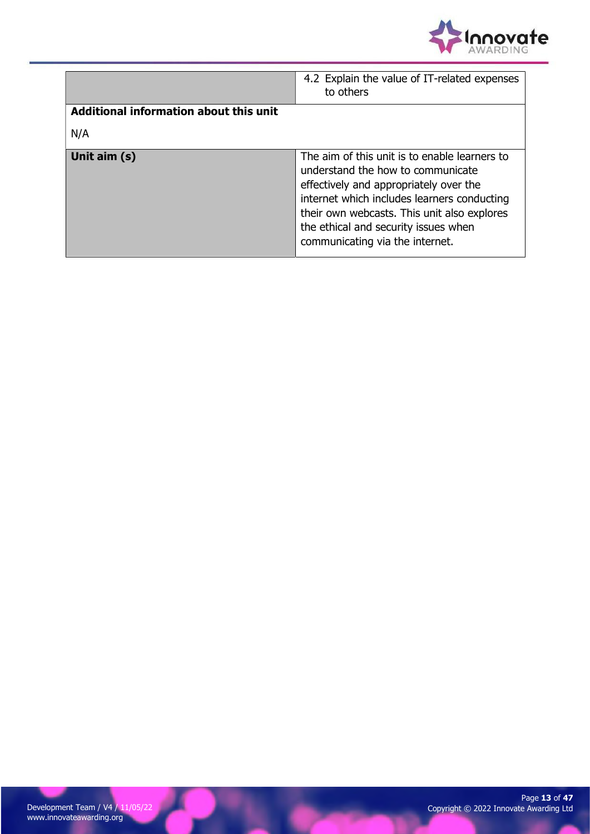

|                                        | 4.2 Explain the value of IT-related expenses<br>to others                                                                                                                                                                                                                                             |
|----------------------------------------|-------------------------------------------------------------------------------------------------------------------------------------------------------------------------------------------------------------------------------------------------------------------------------------------------------|
| Additional information about this unit |                                                                                                                                                                                                                                                                                                       |
| N/A                                    |                                                                                                                                                                                                                                                                                                       |
| Unit aim (s)                           | The aim of this unit is to enable learners to<br>understand the how to communicate<br>effectively and appropriately over the<br>internet which includes learners conducting<br>their own webcasts. This unit also explores<br>the ethical and security issues when<br>communicating via the internet. |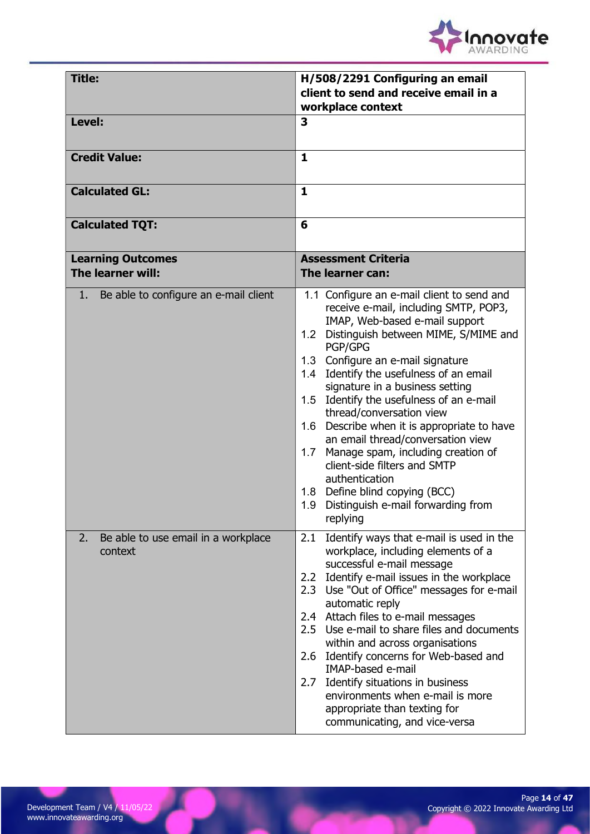

| <b>Title:</b>                                        | H/508/2291 Configuring an email<br>client to send and receive email in a<br>workplace context                                                                                                                                                                                                                                                                                                                                                                                                                                                                                                                                                                                |  |
|------------------------------------------------------|------------------------------------------------------------------------------------------------------------------------------------------------------------------------------------------------------------------------------------------------------------------------------------------------------------------------------------------------------------------------------------------------------------------------------------------------------------------------------------------------------------------------------------------------------------------------------------------------------------------------------------------------------------------------------|--|
| Level:                                               | 3                                                                                                                                                                                                                                                                                                                                                                                                                                                                                                                                                                                                                                                                            |  |
| <b>Credit Value:</b>                                 | $\mathbf{1}$                                                                                                                                                                                                                                                                                                                                                                                                                                                                                                                                                                                                                                                                 |  |
| <b>Calculated GL:</b>                                | $\mathbf{1}$                                                                                                                                                                                                                                                                                                                                                                                                                                                                                                                                                                                                                                                                 |  |
| <b>Calculated TQT:</b>                               | 6                                                                                                                                                                                                                                                                                                                                                                                                                                                                                                                                                                                                                                                                            |  |
| <b>Learning Outcomes</b><br>The learner will:        | <b>Assessment Criteria</b><br>The learner can:                                                                                                                                                                                                                                                                                                                                                                                                                                                                                                                                                                                                                               |  |
| 1. Be able to configure an e-mail client             | 1.1 Configure an e-mail client to send and<br>receive e-mail, including SMTP, POP3,<br>IMAP, Web-based e-mail support<br>1.2 Distinguish between MIME, S/MIME and<br><b>PGP/GPG</b><br>1.3 Configure an e-mail signature<br>1.4 Identify the usefulness of an email<br>signature in a business setting<br>1.5 Identify the usefulness of an e-mail<br>thread/conversation view<br>Describe when it is appropriate to have<br>1.6<br>an email thread/conversation view<br>Manage spam, including creation of<br>1.7<br>client-side filters and SMTP<br>authentication<br>1.8 Define blind copying (BCC)<br>Distinguish e-mail forwarding from<br>1.9 <sub>1</sub><br>replying |  |
| Be able to use email in a workplace<br>2.<br>context | Identify ways that e-mail is used in the<br>2.1<br>workplace, including elements of a<br>successful e-mail message<br>2.2 Identify e-mail issues in the workplace<br>2.3 Use "Out of Office" messages for e-mail<br>automatic reply<br>2.4 Attach files to e-mail messages<br>2.5 Use e-mail to share files and documents<br>within and across organisations<br>Identify concerns for Web-based and<br>2.6<br><b>IMAP-based e-mail</b><br>2.7 Identify situations in business<br>environments when e-mail is more<br>appropriate than texting for<br>communicating, and vice-versa                                                                                           |  |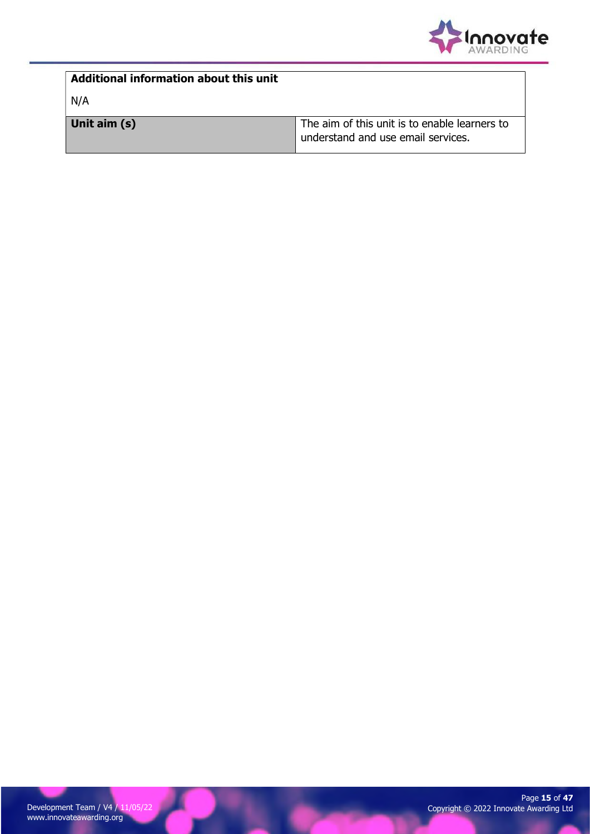

| Additional information about this unit |                                                                                     |
|----------------------------------------|-------------------------------------------------------------------------------------|
| N/A                                    |                                                                                     |
| Unit aim (s)                           | The aim of this unit is to enable learners to<br>understand and use email services. |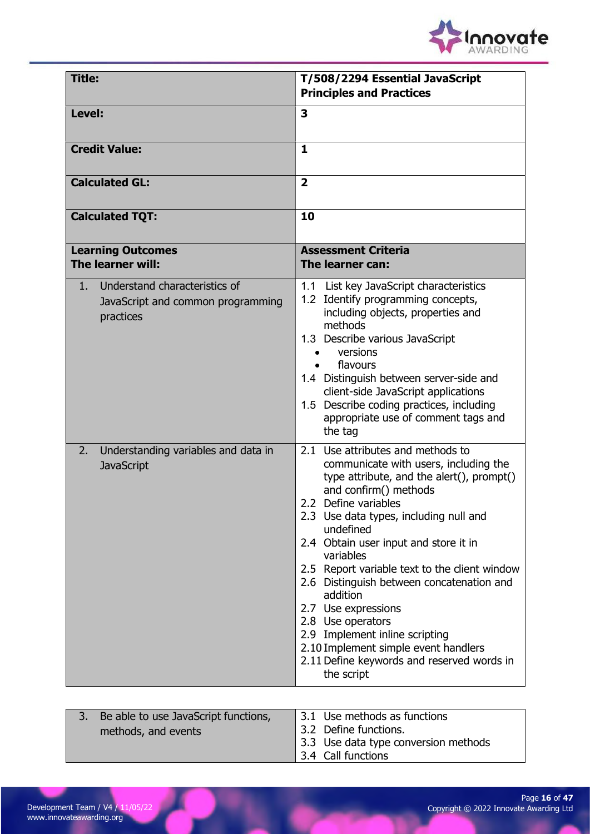

| Title:                                                                                            | T/508/2294 Essential JavaScript<br><b>Principles and Practices</b>                                                                                                                                                                                                                                                                                                                                                                                                                                                                                                                |
|---------------------------------------------------------------------------------------------------|-----------------------------------------------------------------------------------------------------------------------------------------------------------------------------------------------------------------------------------------------------------------------------------------------------------------------------------------------------------------------------------------------------------------------------------------------------------------------------------------------------------------------------------------------------------------------------------|
| Level:                                                                                            | 3                                                                                                                                                                                                                                                                                                                                                                                                                                                                                                                                                                                 |
| <b>Credit Value:</b>                                                                              | $\mathbf{1}$                                                                                                                                                                                                                                                                                                                                                                                                                                                                                                                                                                      |
| <b>Calculated GL:</b>                                                                             | $\overline{2}$                                                                                                                                                                                                                                                                                                                                                                                                                                                                                                                                                                    |
| <b>Calculated TQT:</b>                                                                            | 10                                                                                                                                                                                                                                                                                                                                                                                                                                                                                                                                                                                |
| <b>Learning Outcomes</b><br>The learner will:                                                     | <b>Assessment Criteria</b><br>The learner can:                                                                                                                                                                                                                                                                                                                                                                                                                                                                                                                                    |
| Understand characteristics of<br>1 <sub>1</sub><br>JavaScript and common programming<br>practices | 1.1 List key JavaScript characteristics<br>1.2 Identify programming concepts,<br>including objects, properties and<br>methods<br>1.3 Describe various JavaScript<br>versions<br>flavours<br>1.4 Distinguish between server-side and<br>client-side JavaScript applications<br>1.5 Describe coding practices, including<br>appropriate use of comment tags and<br>the tag                                                                                                                                                                                                          |
| Understanding variables and data in<br>2.<br><b>JavaScript</b>                                    | 2.1 Use attributes and methods to<br>communicate with users, including the<br>type attribute, and the alert(), prompt()<br>and confirm() methods<br>2.2 Define variables<br>2.3 Use data types, including null and<br>undefined<br>2.4 Obtain user input and store it in<br>variables<br>2.5 Report variable text to the client window<br>2.6 Distinguish between concatenation and<br>addition<br>2.7 Use expressions<br>2.8 Use operators<br>2.9 Implement inline scripting<br>2.10 Implement simple event handlers<br>2.11 Define keywords and reserved words in<br>the script |

| Be able to use JavaScript functions, |                       | 3.1 Use methods as functions         |
|--------------------------------------|-----------------------|--------------------------------------|
| methods, and events                  | 3.2 Define functions. |                                      |
|                                      |                       | 3.3 Use data type conversion methods |
|                                      | 3.4 Call functions    |                                      |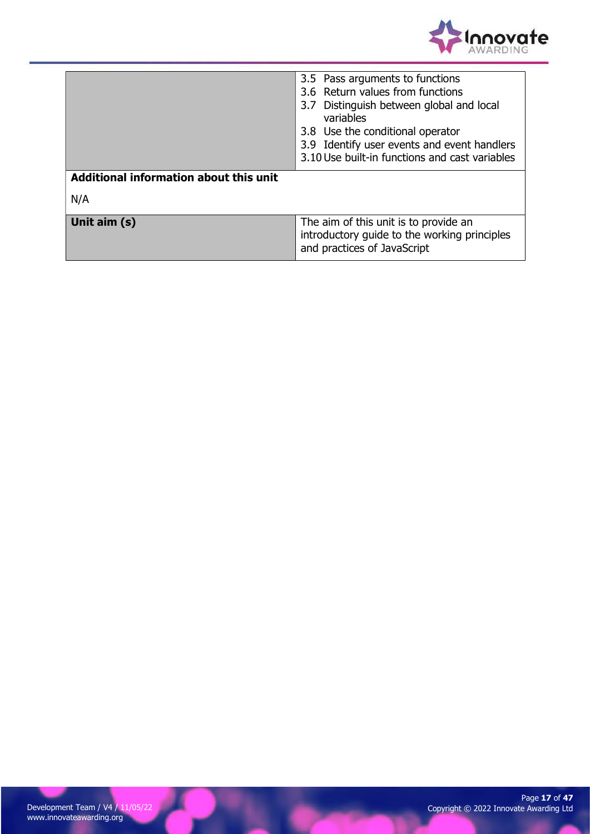

|                                        | 3.5 Pass arguments to functions<br>3.6 Return values from functions<br>3.7 Distinguish between global and local<br>variables<br>3.8 Use the conditional operator<br>3.9 Identify user events and event handlers<br>3.10 Use built-in functions and cast variables |  |
|----------------------------------------|-------------------------------------------------------------------------------------------------------------------------------------------------------------------------------------------------------------------------------------------------------------------|--|
| Additional information about this unit |                                                                                                                                                                                                                                                                   |  |
| N/A                                    |                                                                                                                                                                                                                                                                   |  |
| Unit aim (s)                           | The aim of this unit is to provide an<br>introductory guide to the working principles<br>and practices of JavaScript                                                                                                                                              |  |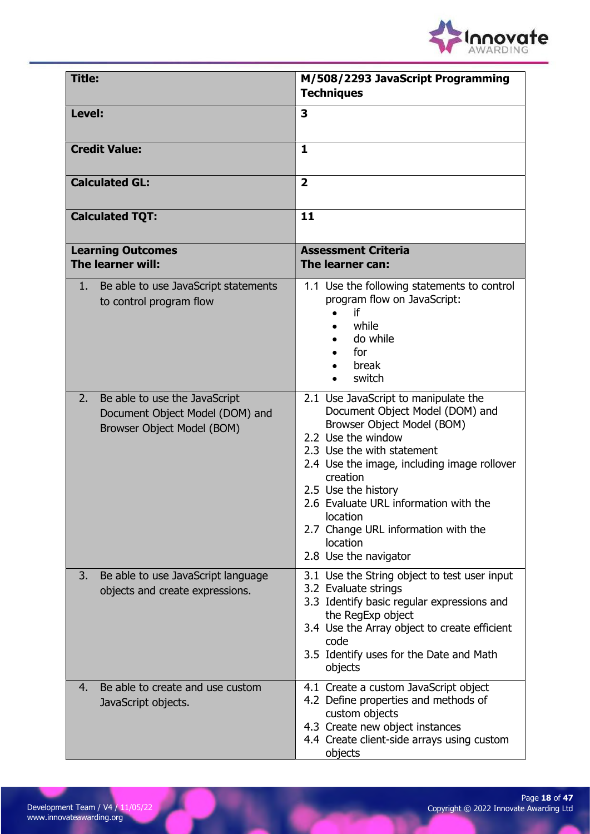

| <b>Title:</b>                                                                                        | M/508/2293 JavaScript Programming<br><b>Techniques</b>                                                                                                                                                                                                                                                                                                                       |
|------------------------------------------------------------------------------------------------------|------------------------------------------------------------------------------------------------------------------------------------------------------------------------------------------------------------------------------------------------------------------------------------------------------------------------------------------------------------------------------|
| Level:                                                                                               | 3                                                                                                                                                                                                                                                                                                                                                                            |
| <b>Credit Value:</b>                                                                                 | $\mathbf{1}$                                                                                                                                                                                                                                                                                                                                                                 |
| <b>Calculated GL:</b>                                                                                | $\overline{2}$                                                                                                                                                                                                                                                                                                                                                               |
| <b>Calculated TQT:</b>                                                                               | 11                                                                                                                                                                                                                                                                                                                                                                           |
| <b>Learning Outcomes</b><br>The learner will:                                                        | <b>Assessment Criteria</b><br>The learner can:                                                                                                                                                                                                                                                                                                                               |
| Be able to use JavaScript statements<br>1.<br>to control program flow                                | 1.1 Use the following statements to control<br>program flow on JavaScript:<br>if<br>while<br>do while<br>for<br>break<br>switch                                                                                                                                                                                                                                              |
| 2.<br>Be able to use the JavaScript<br>Document Object Model (DOM) and<br>Browser Object Model (BOM) | 2.1 Use JavaScript to manipulate the<br>Document Object Model (DOM) and<br>Browser Object Model (BOM)<br>2.2 Use the window<br>2.3 Use the with statement<br>2.4 Use the image, including image rollover<br>creation<br>2.5 Use the history<br>2.6 Evaluate URL information with the<br>location<br>2.7 Change URL information with the<br>location<br>2.8 Use the navigator |
| Be able to use JavaScript language<br>3.<br>objects and create expressions.                          | 3.1 Use the String object to test user input<br>3.2 Evaluate strings<br>3.3 Identify basic regular expressions and<br>the RegExp object<br>3.4 Use the Array object to create efficient<br>code<br>3.5 Identify uses for the Date and Math<br>objects                                                                                                                        |
| Be able to create and use custom<br>4.<br>JavaScript objects.                                        | 4.1 Create a custom JavaScript object<br>4.2 Define properties and methods of<br>custom objects<br>4.3 Create new object instances<br>4.4 Create client-side arrays using custom<br>objects                                                                                                                                                                                  |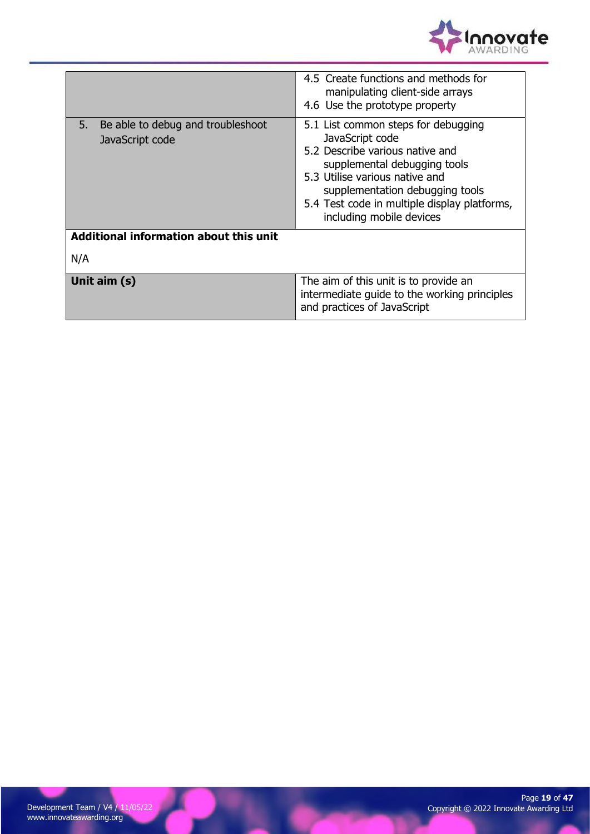

|                                                            | 4.5 Create functions and methods for<br>manipulating client-side arrays<br>4.6 Use the prototype property                                                                                                                                                                  |  |
|------------------------------------------------------------|----------------------------------------------------------------------------------------------------------------------------------------------------------------------------------------------------------------------------------------------------------------------------|--|
| Be able to debug and troubleshoot<br>5.<br>JavaScript code | 5.1 List common steps for debugging<br>JavaScript code<br>5.2 Describe various native and<br>supplemental debugging tools<br>5.3 Utilise various native and<br>supplementation debugging tools<br>5.4 Test code in multiple display platforms,<br>including mobile devices |  |
| Additional information about this unit                     |                                                                                                                                                                                                                                                                            |  |
| N/A                                                        |                                                                                                                                                                                                                                                                            |  |
| Unit aim (s)                                               | The aim of this unit is to provide an<br>intermediate quide to the working principles<br>and practices of JavaScript                                                                                                                                                       |  |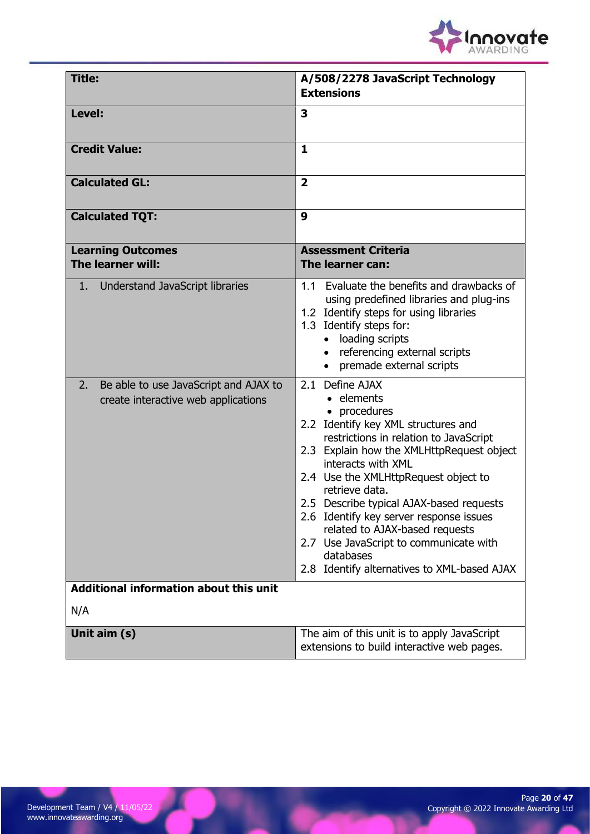

| <b>Title:</b>                                                                      | A/508/2278 JavaScript Technology<br><b>Extensions</b>                                                                                                                                                                                                                                                                                                                                                                                                                                      |
|------------------------------------------------------------------------------------|--------------------------------------------------------------------------------------------------------------------------------------------------------------------------------------------------------------------------------------------------------------------------------------------------------------------------------------------------------------------------------------------------------------------------------------------------------------------------------------------|
| Level:                                                                             | 3                                                                                                                                                                                                                                                                                                                                                                                                                                                                                          |
| <b>Credit Value:</b>                                                               | $\mathbf{1}$                                                                                                                                                                                                                                                                                                                                                                                                                                                                               |
| <b>Calculated GL:</b>                                                              | $\overline{2}$                                                                                                                                                                                                                                                                                                                                                                                                                                                                             |
| <b>Calculated TQT:</b>                                                             | 9                                                                                                                                                                                                                                                                                                                                                                                                                                                                                          |
| <b>Learning Outcomes</b><br>The learner will:                                      | <b>Assessment Criteria</b><br>The learner can:                                                                                                                                                                                                                                                                                                                                                                                                                                             |
| 1. Understand JavaScript libraries                                                 | Evaluate the benefits and drawbacks of<br>11<br>using predefined libraries and plug-ins<br>1.2 Identify steps for using libraries<br>1.3 Identify steps for:<br>loading scripts<br>referencing external scripts<br>$\bullet$<br>premade external scripts<br>$\bullet$                                                                                                                                                                                                                      |
| Be able to use JavaScript and AJAX to<br>2.<br>create interactive web applications | 2.1 Define AJAX<br>• elements<br>• procedures<br>2.2 Identify key XML structures and<br>restrictions in relation to JavaScript<br>2.3 Explain how the XMLHttpRequest object<br>interacts with XML<br>2.4 Use the XMLHttpRequest object to<br>retrieve data.<br>2.5 Describe typical AJAX-based requests<br>2.6 Identify key server response issues<br>related to AJAX-based requests<br>2.7 Use JavaScript to communicate with<br>databases<br>2.8 Identify alternatives to XML-based AJAX |
| <b>Additional information about this unit</b><br>N/A                               |                                                                                                                                                                                                                                                                                                                                                                                                                                                                                            |
| Unit aim (s)                                                                       | The aim of this unit is to apply JavaScript<br>extensions to build interactive web pages.                                                                                                                                                                                                                                                                                                                                                                                                  |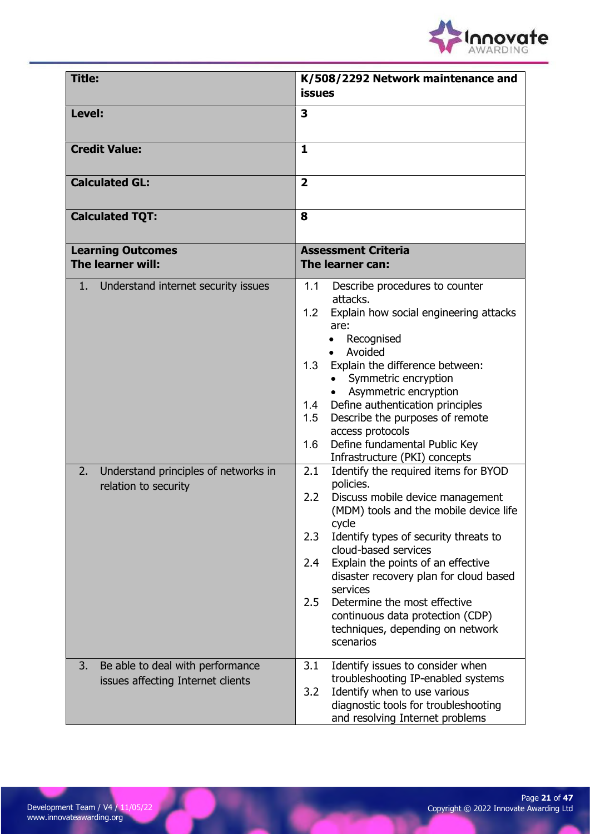

| <b>Title:</b>                                                                                                | K/508/2292 Network maintenance and<br><b>issues</b>                                                                                                                                                                                                                                                                                                                                                                                                                                                                                                                                                                                                                                                                                                                                                                                                                                            |  |
|--------------------------------------------------------------------------------------------------------------|------------------------------------------------------------------------------------------------------------------------------------------------------------------------------------------------------------------------------------------------------------------------------------------------------------------------------------------------------------------------------------------------------------------------------------------------------------------------------------------------------------------------------------------------------------------------------------------------------------------------------------------------------------------------------------------------------------------------------------------------------------------------------------------------------------------------------------------------------------------------------------------------|--|
| Level:                                                                                                       | 3                                                                                                                                                                                                                                                                                                                                                                                                                                                                                                                                                                                                                                                                                                                                                                                                                                                                                              |  |
| <b>Credit Value:</b>                                                                                         | $\mathbf{1}$                                                                                                                                                                                                                                                                                                                                                                                                                                                                                                                                                                                                                                                                                                                                                                                                                                                                                   |  |
| <b>Calculated GL:</b>                                                                                        | $\overline{2}$                                                                                                                                                                                                                                                                                                                                                                                                                                                                                                                                                                                                                                                                                                                                                                                                                                                                                 |  |
| <b>Calculated TQT:</b>                                                                                       | 8                                                                                                                                                                                                                                                                                                                                                                                                                                                                                                                                                                                                                                                                                                                                                                                                                                                                                              |  |
| <b>Learning Outcomes</b><br>The learner will:                                                                | <b>Assessment Criteria</b><br>The learner can:                                                                                                                                                                                                                                                                                                                                                                                                                                                                                                                                                                                                                                                                                                                                                                                                                                                 |  |
| 1. Understand internet security issues<br>2.<br>Understand principles of networks in<br>relation to security | 1.1<br>Describe procedures to counter<br>attacks.<br>Explain how social engineering attacks<br>1.2<br>are:<br>Recognised<br>$\bullet$<br>Avoided<br>Explain the difference between:<br>1.3<br>Symmetric encryption<br>Asymmetric encryption<br>Define authentication principles<br>1.4<br>Describe the purposes of remote<br>1.5<br>access protocols<br>Define fundamental Public Key<br>1.6<br>Infrastructure (PKI) concepts<br>2.1<br>Identify the required items for BYOD<br>policies.<br>2.2<br>Discuss mobile device management<br>(MDM) tools and the mobile device life<br>cycle<br>2.3<br>Identify types of security threats to<br>cloud-based services<br>Explain the points of an effective<br>2.4<br>disaster recovery plan for cloud based<br>services<br>Determine the most effective<br>2.5<br>continuous data protection (CDP)<br>techniques, depending on network<br>scenarios |  |
| Be able to deal with performance<br>3.<br>issues affecting Internet clients                                  | 3.1<br>Identify issues to consider when<br>troubleshooting IP-enabled systems<br>Identify when to use various<br>3.2<br>diagnostic tools for troubleshooting<br>and resolving Internet problems                                                                                                                                                                                                                                                                                                                                                                                                                                                                                                                                                                                                                                                                                                |  |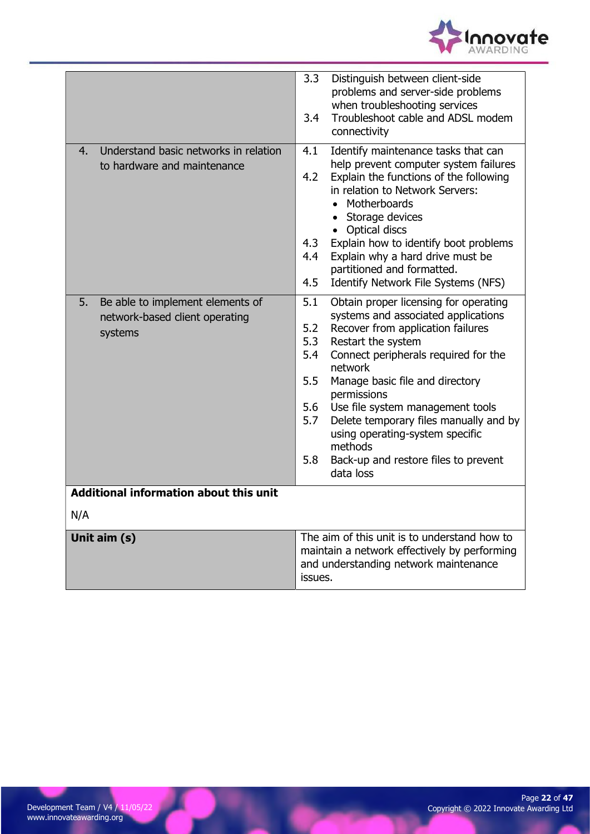

|                                                                                     | 3.3<br>Distinguish between client-side<br>problems and server-side problems<br>when troubleshooting services<br>Troubleshoot cable and ADSL modem<br>3.4<br>connectivity                                                                                                                                                                                                                                                                                                              |  |
|-------------------------------------------------------------------------------------|---------------------------------------------------------------------------------------------------------------------------------------------------------------------------------------------------------------------------------------------------------------------------------------------------------------------------------------------------------------------------------------------------------------------------------------------------------------------------------------|--|
| Understand basic networks in relation<br>4.<br>to hardware and maintenance          | Identify maintenance tasks that can<br>4.1<br>help prevent computer system failures<br>Explain the functions of the following<br>4.2<br>in relation to Network Servers:<br>Motherboards<br>Storage devices<br>Optical discs<br>Explain how to identify boot problems<br>4.3<br>Explain why a hard drive must be<br>4.4<br>partitioned and formatted.<br>4.5<br>Identify Network File Systems (NFS)                                                                                    |  |
| Be able to implement elements of<br>5.<br>network-based client operating<br>systems | 5.1<br>Obtain proper licensing for operating<br>systems and associated applications<br>5.2<br>Recover from application failures<br>5.3<br>Restart the system<br>5.4<br>Connect peripherals required for the<br>network<br>5.5<br>Manage basic file and directory<br>permissions<br>5.6<br>Use file system management tools<br>5.7<br>Delete temporary files manually and by<br>using operating-system specific<br>methods<br>5.8<br>Back-up and restore files to prevent<br>data loss |  |
| <b>Additional information about this unit</b><br>N/A                                |                                                                                                                                                                                                                                                                                                                                                                                                                                                                                       |  |
| Unit aim (s)                                                                        | The aim of this unit is to understand how to<br>maintain a network effectively by performing<br>and understanding network maintenance<br>issues.                                                                                                                                                                                                                                                                                                                                      |  |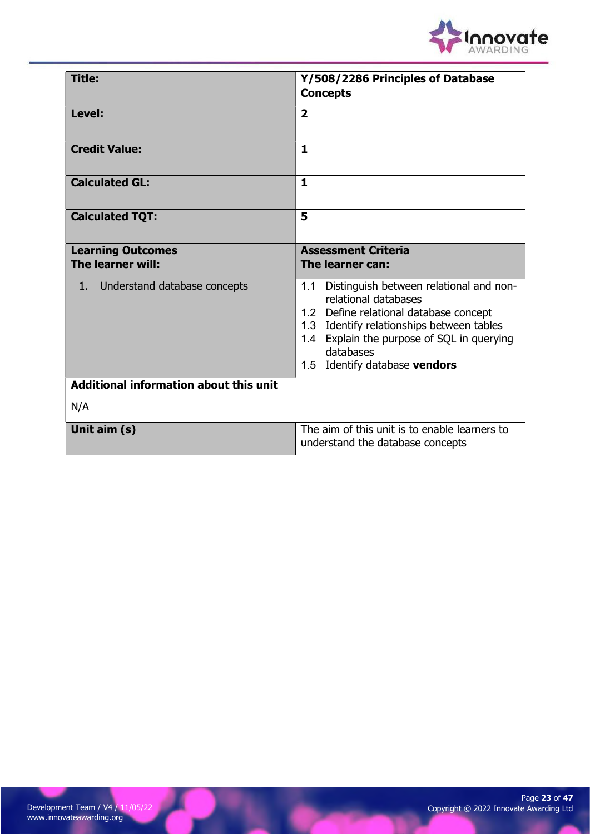

| Title:                                        | Y/508/2286 Principles of Database<br><b>Concepts</b>                                                                                                                                                                                                      |
|-----------------------------------------------|-----------------------------------------------------------------------------------------------------------------------------------------------------------------------------------------------------------------------------------------------------------|
| Level:                                        | $\overline{2}$                                                                                                                                                                                                                                            |
| <b>Credit Value:</b>                          | 1                                                                                                                                                                                                                                                         |
| <b>Calculated GL:</b>                         | $\mathbf{1}$                                                                                                                                                                                                                                              |
| <b>Calculated TQT:</b>                        | 5                                                                                                                                                                                                                                                         |
| <b>Learning Outcomes</b><br>The learner will: | <b>Assessment Criteria</b><br>The learner can:                                                                                                                                                                                                            |
| Understand database concepts<br>1             | Distinguish between relational and non-<br>1.1<br>relational databases<br>1.2 Define relational database concept<br>1.3 Identify relationships between tables<br>1.4 Explain the purpose of SQL in querying<br>databases<br>1.5 Identify database vendors |
| <b>Additional information about this unit</b> |                                                                                                                                                                                                                                                           |
| N/A                                           |                                                                                                                                                                                                                                                           |
| Unit aim (s)                                  | The aim of this unit is to enable learners to<br>understand the database concepts                                                                                                                                                                         |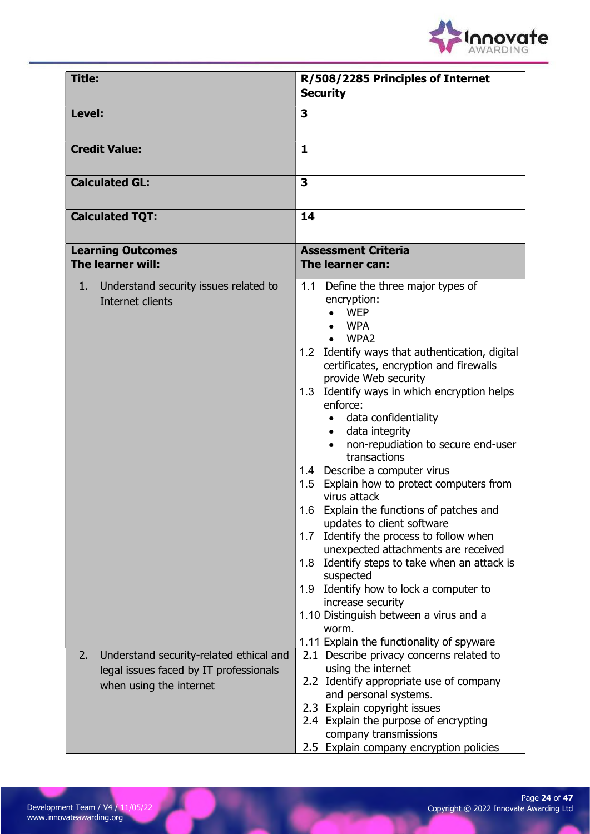

| <b>Title:</b>                                                                                                      | R/508/2285 Principles of Internet<br><b>Security</b>                                                                                                                                                                                                                                                                                                                                                                                                                                                                                                                                                                                                                                                                                                                                                                                                                                              |
|--------------------------------------------------------------------------------------------------------------------|---------------------------------------------------------------------------------------------------------------------------------------------------------------------------------------------------------------------------------------------------------------------------------------------------------------------------------------------------------------------------------------------------------------------------------------------------------------------------------------------------------------------------------------------------------------------------------------------------------------------------------------------------------------------------------------------------------------------------------------------------------------------------------------------------------------------------------------------------------------------------------------------------|
| Level:                                                                                                             | 3                                                                                                                                                                                                                                                                                                                                                                                                                                                                                                                                                                                                                                                                                                                                                                                                                                                                                                 |
| <b>Credit Value:</b>                                                                                               | 1                                                                                                                                                                                                                                                                                                                                                                                                                                                                                                                                                                                                                                                                                                                                                                                                                                                                                                 |
| <b>Calculated GL:</b>                                                                                              | 3                                                                                                                                                                                                                                                                                                                                                                                                                                                                                                                                                                                                                                                                                                                                                                                                                                                                                                 |
| <b>Calculated TQT:</b>                                                                                             | 14                                                                                                                                                                                                                                                                                                                                                                                                                                                                                                                                                                                                                                                                                                                                                                                                                                                                                                |
| <b>Learning Outcomes</b><br>The learner will:                                                                      | <b>Assessment Criteria</b><br>The learner can:                                                                                                                                                                                                                                                                                                                                                                                                                                                                                                                                                                                                                                                                                                                                                                                                                                                    |
| Understand security issues related to<br>1.<br>Internet clients                                                    | 1.1 Define the three major types of<br>encryption:<br><b>WEP</b><br><b>WPA</b><br>WPA <sub>2</sub><br>1.2 Identify ways that authentication, digital<br>certificates, encryption and firewalls<br>provide Web security<br>1.3 Identify ways in which encryption helps<br>enforce:<br>data confidentiality<br>$\bullet$<br>data integrity<br>$\bullet$<br>non-repudiation to secure end-user<br>transactions<br>1.4 Describe a computer virus<br>1.5 Explain how to protect computers from<br>virus attack<br>1.6 Explain the functions of patches and<br>updates to client software<br>1.7 Identify the process to follow when<br>unexpected attachments are received<br>1.8 Identify steps to take when an attack is<br>suspected<br>1.9 Identify how to lock a computer to<br>increase security<br>1.10 Distinguish between a virus and a<br>worm.<br>1.11 Explain the functionality of spyware |
| Understand security-related ethical and<br>2.<br>legal issues faced by IT professionals<br>when using the internet | 2.1 Describe privacy concerns related to<br>using the internet<br>2.2 Identify appropriate use of company<br>and personal systems.<br>2.3 Explain copyright issues<br>2.4 Explain the purpose of encrypting<br>company transmissions<br>2.5 Explain company encryption policies                                                                                                                                                                                                                                                                                                                                                                                                                                                                                                                                                                                                                   |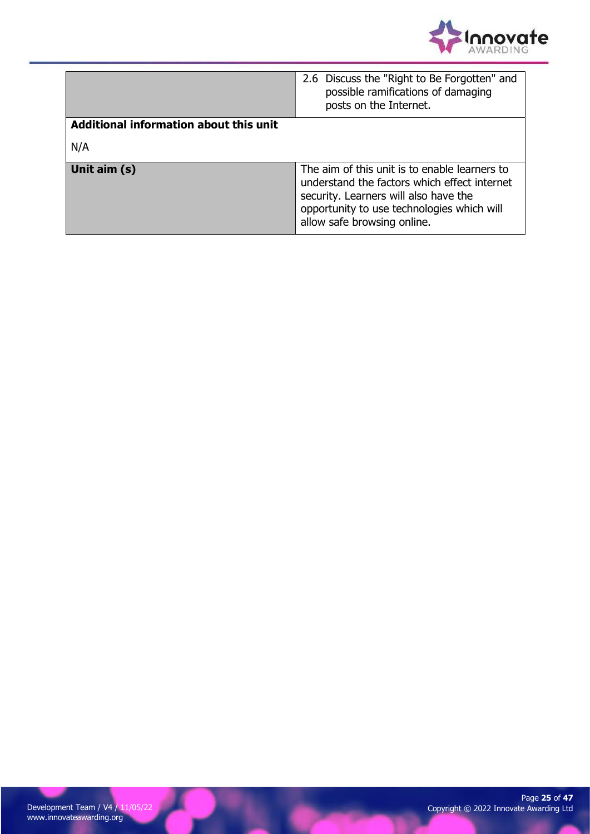

|                                        | 2.6 Discuss the "Right to Be Forgotten" and<br>possible ramifications of damaging<br>posts on the Internet.                                                                                                         |  |
|----------------------------------------|---------------------------------------------------------------------------------------------------------------------------------------------------------------------------------------------------------------------|--|
| Additional information about this unit |                                                                                                                                                                                                                     |  |
| N/A                                    |                                                                                                                                                                                                                     |  |
| Unit aim (s)                           | The aim of this unit is to enable learners to<br>understand the factors which effect internet<br>security. Learners will also have the<br>opportunity to use technologies which will<br>allow safe browsing online. |  |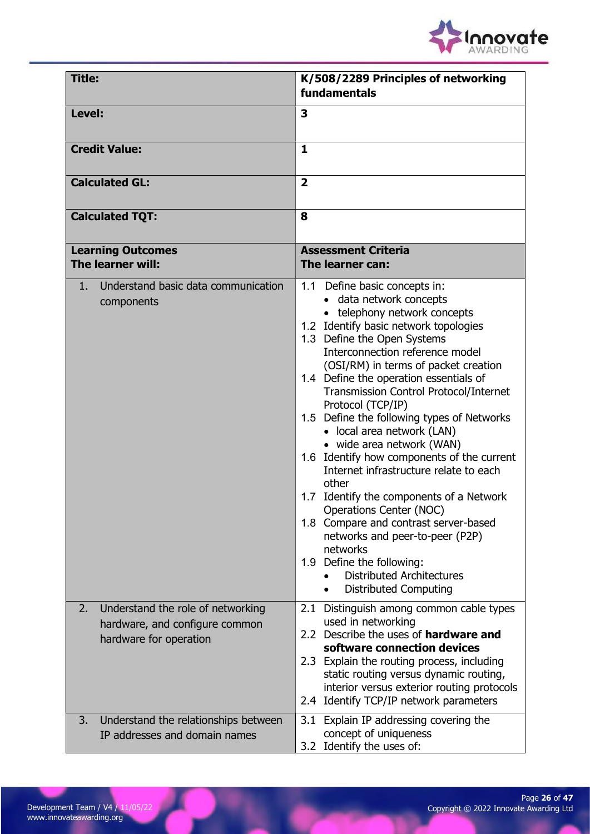

| <b>Title:</b>                                                                                       | K/508/2289 Principles of networking<br>fundamentals                                                                                                                                                                                                                                                                                                                                                                                                                                                                                                                                                                                                                                                                                                                                                                          |
|-----------------------------------------------------------------------------------------------------|------------------------------------------------------------------------------------------------------------------------------------------------------------------------------------------------------------------------------------------------------------------------------------------------------------------------------------------------------------------------------------------------------------------------------------------------------------------------------------------------------------------------------------------------------------------------------------------------------------------------------------------------------------------------------------------------------------------------------------------------------------------------------------------------------------------------------|
| Level:                                                                                              | 3                                                                                                                                                                                                                                                                                                                                                                                                                                                                                                                                                                                                                                                                                                                                                                                                                            |
| <b>Credit Value:</b>                                                                                | $\mathbf{1}$                                                                                                                                                                                                                                                                                                                                                                                                                                                                                                                                                                                                                                                                                                                                                                                                                 |
| <b>Calculated GL:</b>                                                                               | $\overline{2}$                                                                                                                                                                                                                                                                                                                                                                                                                                                                                                                                                                                                                                                                                                                                                                                                               |
| <b>Calculated TQT:</b>                                                                              | 8                                                                                                                                                                                                                                                                                                                                                                                                                                                                                                                                                                                                                                                                                                                                                                                                                            |
| <b>Learning Outcomes</b><br>The learner will:                                                       | <b>Assessment Criteria</b><br>The learner can:                                                                                                                                                                                                                                                                                                                                                                                                                                                                                                                                                                                                                                                                                                                                                                               |
| Understand basic data communication<br>1.<br>components                                             | 1.1 Define basic concepts in:<br>data network concepts<br>• telephony network concepts<br>1.2 Identify basic network topologies<br>1.3 Define the Open Systems<br>Interconnection reference model<br>(OSI/RM) in terms of packet creation<br>1.4 Define the operation essentials of<br>Transmission Control Protocol/Internet<br>Protocol (TCP/IP)<br>1.5 Define the following types of Networks<br>• local area network (LAN)<br>• wide area network (WAN)<br>1.6 Identify how components of the current<br>Internet infrastructure relate to each<br>other<br>1.7 Identify the components of a Network<br>Operations Center (NOC)<br>1.8 Compare and contrast server-based<br>networks and peer-to-peer (P2P)<br>networks<br>1.9 Define the following:<br><b>Distributed Architectures</b><br><b>Distributed Computing</b> |
| 2.<br>Understand the role of networking<br>hardware, and configure common<br>hardware for operation | 2.1 Distinguish among common cable types<br>used in networking<br>2.2 Describe the uses of hardware and<br>software connection devices<br>2.3 Explain the routing process, including<br>static routing versus dynamic routing,<br>interior versus exterior routing protocols<br>2.4 Identify TCP/IP network parameters                                                                                                                                                                                                                                                                                                                                                                                                                                                                                                       |
| 3.<br>Understand the relationships between<br>IP addresses and domain names                         | 3.1 Explain IP addressing covering the<br>concept of uniqueness<br>3.2 Identify the uses of:                                                                                                                                                                                                                                                                                                                                                                                                                                                                                                                                                                                                                                                                                                                                 |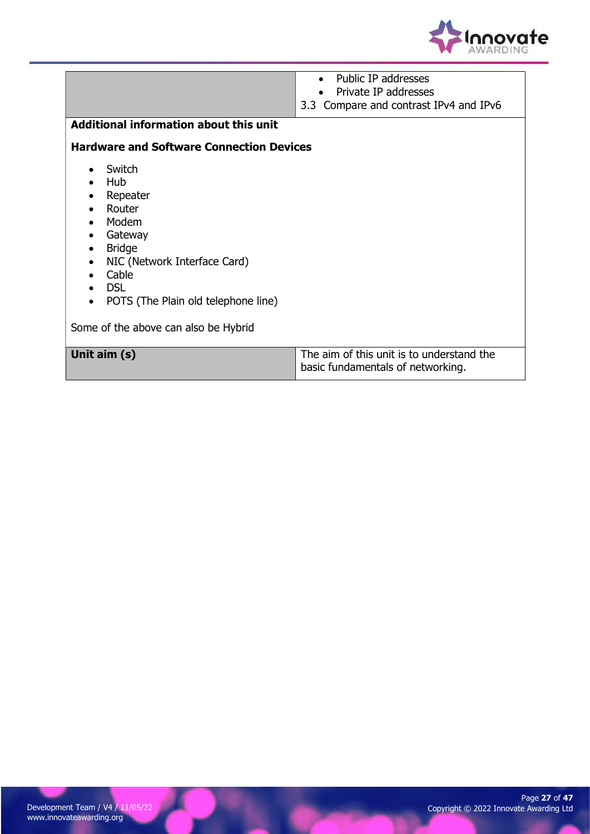

|                                                  | Public IP addresses                       |  |
|--------------------------------------------------|-------------------------------------------|--|
|                                                  | Private IP addresses                      |  |
|                                                  | 3.3 Compare and contrast IPv4 and IPv6    |  |
| <b>Additional information about this unit</b>    |                                           |  |
|                                                  |                                           |  |
| <b>Hardware and Software Connection Devices</b>  |                                           |  |
| Switch                                           |                                           |  |
| Hub                                              |                                           |  |
| Repeater                                         |                                           |  |
| Router                                           |                                           |  |
| Modem<br>$\bullet$                               |                                           |  |
| Gateway<br>$\bullet$                             |                                           |  |
| <b>Bridge</b>                                    |                                           |  |
| NIC (Network Interface Card)<br>$\bullet$        |                                           |  |
| Cable                                            |                                           |  |
| <b>DSL</b>                                       |                                           |  |
| POTS (The Plain old telephone line)<br>$\bullet$ |                                           |  |
|                                                  |                                           |  |
| Some of the above can also be Hybrid             |                                           |  |
|                                                  |                                           |  |
| Unit aim (s)                                     | The aim of this unit is to understand the |  |
|                                                  | basic fundamentals of networking.         |  |
|                                                  |                                           |  |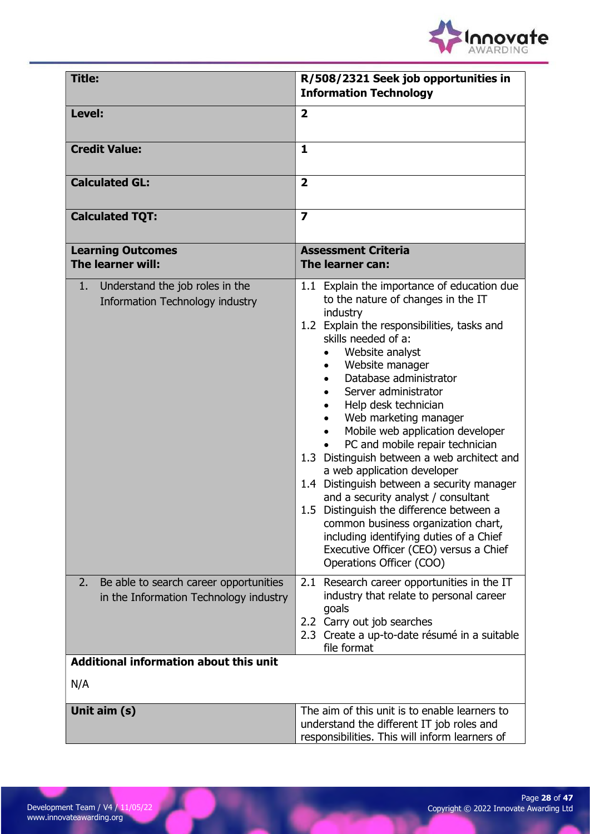

| <b>Title:</b>                                                                          | R/508/2321 Seek job opportunities in<br><b>Information Technology</b>                                                                                                                                                                                                                                                                                                                                                                                                                                                                                                                                                                                                                                                                                      |
|----------------------------------------------------------------------------------------|------------------------------------------------------------------------------------------------------------------------------------------------------------------------------------------------------------------------------------------------------------------------------------------------------------------------------------------------------------------------------------------------------------------------------------------------------------------------------------------------------------------------------------------------------------------------------------------------------------------------------------------------------------------------------------------------------------------------------------------------------------|
| Level:                                                                                 | $\overline{2}$                                                                                                                                                                                                                                                                                                                                                                                                                                                                                                                                                                                                                                                                                                                                             |
| <b>Credit Value:</b>                                                                   | $\mathbf{1}$                                                                                                                                                                                                                                                                                                                                                                                                                                                                                                                                                                                                                                                                                                                                               |
| <b>Calculated GL:</b>                                                                  | $\overline{2}$                                                                                                                                                                                                                                                                                                                                                                                                                                                                                                                                                                                                                                                                                                                                             |
| <b>Calculated TQT:</b>                                                                 | $\overline{\mathbf{z}}$                                                                                                                                                                                                                                                                                                                                                                                                                                                                                                                                                                                                                                                                                                                                    |
| <b>Learning Outcomes</b><br>The learner will:                                          | <b>Assessment Criteria</b><br>The learner can:                                                                                                                                                                                                                                                                                                                                                                                                                                                                                                                                                                                                                                                                                                             |
| Understand the job roles in the<br>1.<br>Information Technology industry               | 1.1 Explain the importance of education due<br>to the nature of changes in the IT<br>industry<br>1.2 Explain the responsibilities, tasks and<br>skills needed of a:<br>Website analyst<br>Website manager<br>Database administrator<br>Server administrator<br>Help desk technician<br>Web marketing manager<br>Mobile web application developer<br>PC and mobile repair technician<br>1.3 Distinguish between a web architect and<br>a web application developer<br>1.4 Distinguish between a security manager<br>and a security analyst / consultant<br>1.5 Distinguish the difference between a<br>common business organization chart,<br>including identifying duties of a Chief<br>Executive Officer (CEO) versus a Chief<br>Operations Officer (COO) |
| 2.<br>Be able to search career opportunities<br>in the Information Technology industry | 2.1 Research career opportunities in the IT<br>industry that relate to personal career<br>goals<br>2.2 Carry out job searches<br>2.3 Create a up-to-date résumé in a suitable<br>file format                                                                                                                                                                                                                                                                                                                                                                                                                                                                                                                                                               |
| Additional information about this unit                                                 |                                                                                                                                                                                                                                                                                                                                                                                                                                                                                                                                                                                                                                                                                                                                                            |
| N/A                                                                                    |                                                                                                                                                                                                                                                                                                                                                                                                                                                                                                                                                                                                                                                                                                                                                            |
| Unit aim (s)                                                                           | The aim of this unit is to enable learners to<br>understand the different IT job roles and<br>responsibilities. This will inform learners of                                                                                                                                                                                                                                                                                                                                                                                                                                                                                                                                                                                                               |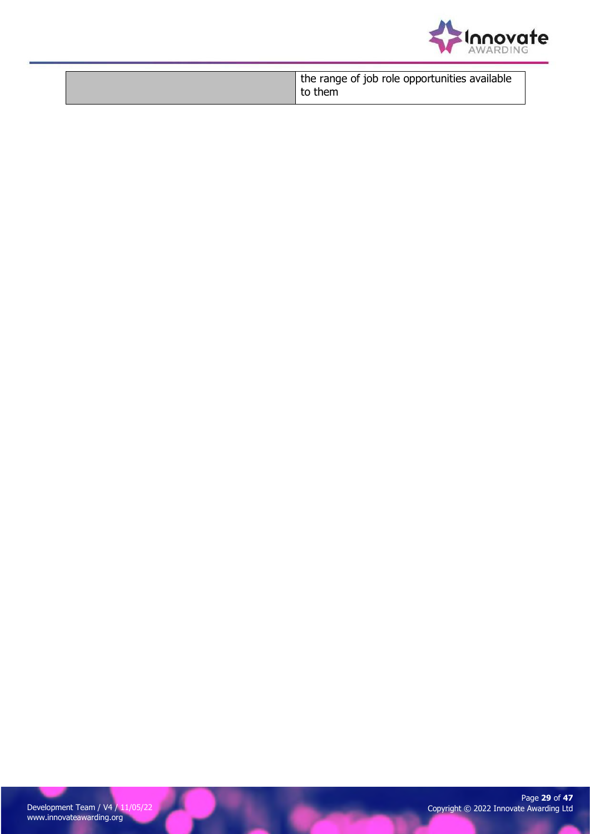

|  | the range of job role opportunities available<br>to them |
|--|----------------------------------------------------------|
|--|----------------------------------------------------------|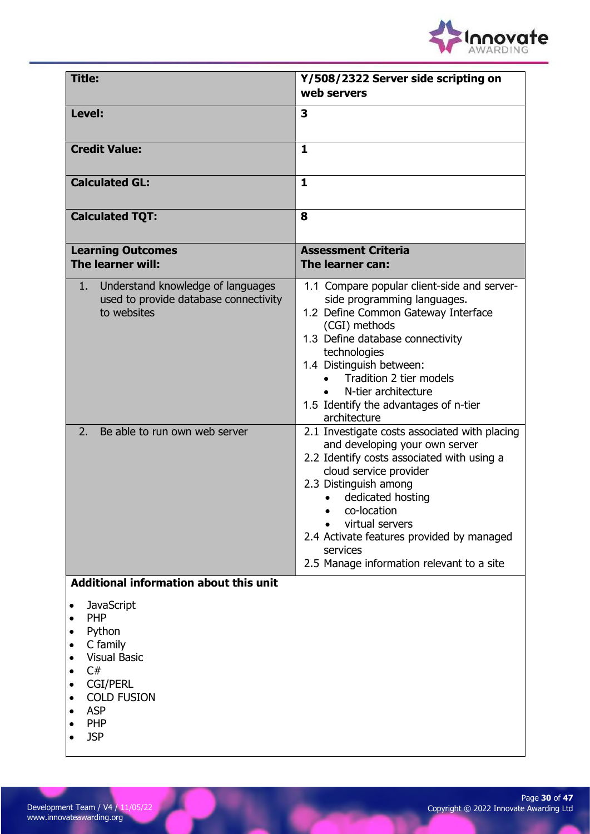

| <b>Title:</b>                                                                                                                                                                      | Y/508/2322 Server side scripting on<br>web servers                                                                                                                                                                                                                                                                                            |
|------------------------------------------------------------------------------------------------------------------------------------------------------------------------------------|-----------------------------------------------------------------------------------------------------------------------------------------------------------------------------------------------------------------------------------------------------------------------------------------------------------------------------------------------|
| Level:                                                                                                                                                                             | 3                                                                                                                                                                                                                                                                                                                                             |
| <b>Credit Value:</b>                                                                                                                                                               | $\mathbf{1}$                                                                                                                                                                                                                                                                                                                                  |
| <b>Calculated GL:</b>                                                                                                                                                              | $\mathbf{1}$                                                                                                                                                                                                                                                                                                                                  |
| <b>Calculated TQT:</b>                                                                                                                                                             | 8                                                                                                                                                                                                                                                                                                                                             |
| <b>Learning Outcomes</b><br>The learner will:                                                                                                                                      | <b>Assessment Criteria</b><br>The learner can:                                                                                                                                                                                                                                                                                                |
| Understand knowledge of languages<br>1.<br>used to provide database connectivity<br>to websites                                                                                    | 1.1 Compare popular client-side and server-<br>side programming languages.<br>1.2 Define Common Gateway Interface<br>(CGI) methods<br>1.3 Define database connectivity<br>technologies<br>1.4 Distinguish between:<br>Tradition 2 tier models<br>N-tier architecture<br>1.5 Identify the advantages of n-tier<br>architecture                 |
| 2.<br>Be able to run own web server                                                                                                                                                | 2.1 Investigate costs associated with placing<br>and developing your own server<br>2.2 Identify costs associated with using a<br>cloud service provider<br>2.3 Distinguish among<br>dedicated hosting<br>co-location<br>virtual servers<br>2.4 Activate features provided by managed<br>services<br>2.5 Manage information relevant to a site |
| Additional information about this unit                                                                                                                                             |                                                                                                                                                                                                                                                                                                                                               |
| <b>JavaScript</b><br><b>PHP</b><br>Python<br>C family<br>$\bullet$<br><b>Visual Basic</b><br>C#<br><b>CGI/PERL</b><br><b>COLD FUSION</b><br><b>ASP</b><br><b>PHP</b><br><b>JSP</b> |                                                                                                                                                                                                                                                                                                                                               |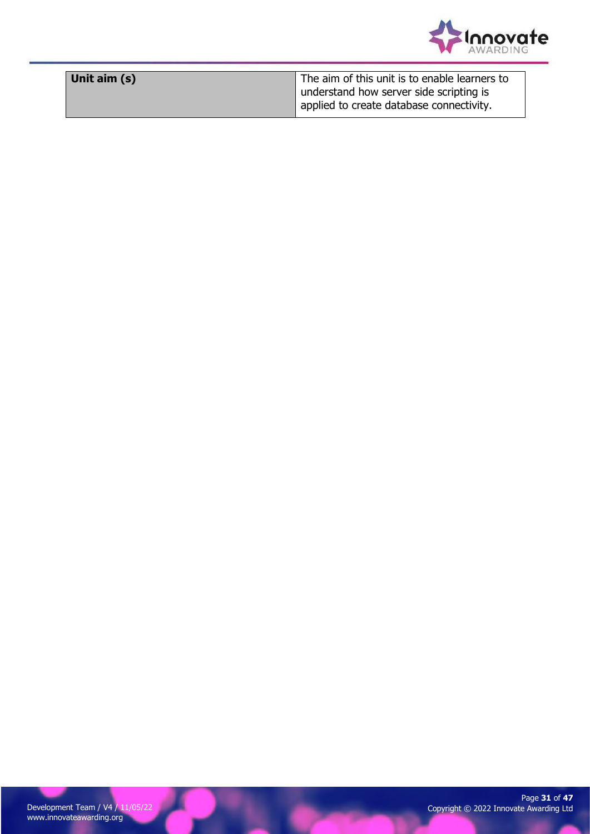

| Unit aim (s) | The aim of this unit is to enable learners to |
|--------------|-----------------------------------------------|
|              | understand how server side scripting is       |
|              | applied to create database connectivity.      |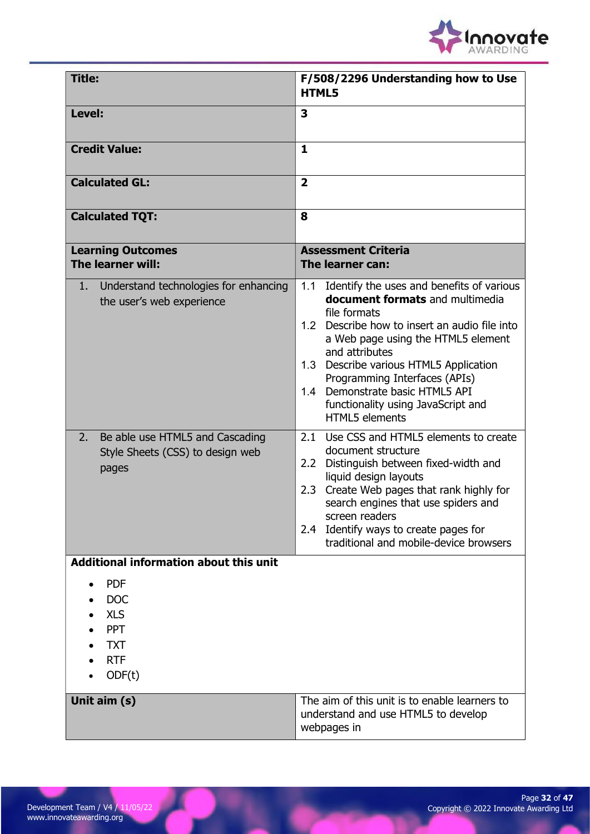

| Title:                                                                                                     | F/508/2296 Understanding how to Use<br><b>HTML5</b>                                                                                                                                                                                                                                                                                                                                                 |
|------------------------------------------------------------------------------------------------------------|-----------------------------------------------------------------------------------------------------------------------------------------------------------------------------------------------------------------------------------------------------------------------------------------------------------------------------------------------------------------------------------------------------|
| Level:                                                                                                     | 3                                                                                                                                                                                                                                                                                                                                                                                                   |
| <b>Credit Value:</b>                                                                                       | $\mathbf{1}$                                                                                                                                                                                                                                                                                                                                                                                        |
| <b>Calculated GL:</b>                                                                                      | $\overline{\mathbf{2}}$                                                                                                                                                                                                                                                                                                                                                                             |
| <b>Calculated TQT:</b>                                                                                     | 8                                                                                                                                                                                                                                                                                                                                                                                                   |
| <b>Learning Outcomes</b><br>The learner will:                                                              | <b>Assessment Criteria</b><br>The learner can:                                                                                                                                                                                                                                                                                                                                                      |
| Understand technologies for enhancing<br>1.<br>the user's web experience                                   | 1.1<br>Identify the uses and benefits of various<br><b>document formats</b> and multimedia<br>file formats<br>1.2 Describe how to insert an audio file into<br>a Web page using the HTML5 element<br>and attributes<br>1.3 Describe various HTML5 Application<br>Programming Interfaces (APIs)<br>Demonstrate basic HTML5 API<br>1.4<br>functionality using JavaScript and<br><b>HTML5</b> elements |
| Be able use HTML5 and Cascading<br>2.<br>Style Sheets (CSS) to design web<br>pages                         | Use CSS and HTML5 elements to create<br>2.1<br>document structure<br>Distinguish between fixed-width and<br>2.2 <sub>2</sub><br>liquid design layouts<br>Create Web pages that rank highly for<br>2.3<br>search engines that use spiders and<br>screen readers<br>Identify ways to create pages for<br>2.4<br>traditional and mobile-device browsers                                                |
| <b>Additional information about this unit</b>                                                              |                                                                                                                                                                                                                                                                                                                                                                                                     |
| <b>PDF</b><br><b>DOC</b><br><b>XLS</b><br><b>PPT</b><br><b>TXT</b><br><b>RTF</b><br>ODF(t)<br>Unit aim (s) | The aim of this unit is to enable learners to<br>understand and use HTML5 to develop                                                                                                                                                                                                                                                                                                                |
|                                                                                                            | webpages in                                                                                                                                                                                                                                                                                                                                                                                         |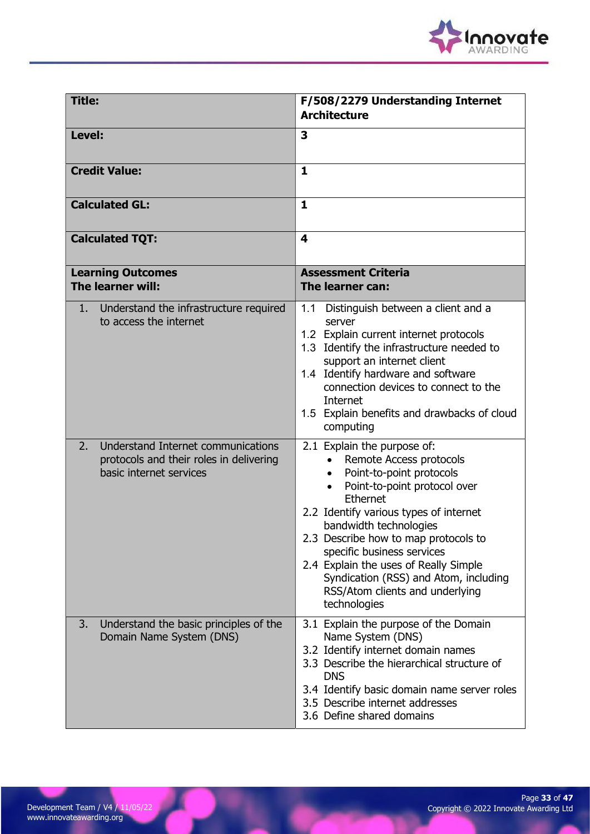

| <b>Title:</b>                                                                                                  | F/508/2279 Understanding Internet<br><b>Architecture</b>                                                                                                                                                                                                                                                                                                                                                                   |
|----------------------------------------------------------------------------------------------------------------|----------------------------------------------------------------------------------------------------------------------------------------------------------------------------------------------------------------------------------------------------------------------------------------------------------------------------------------------------------------------------------------------------------------------------|
| Level:                                                                                                         | 3                                                                                                                                                                                                                                                                                                                                                                                                                          |
| <b>Credit Value:</b>                                                                                           | 1                                                                                                                                                                                                                                                                                                                                                                                                                          |
| <b>Calculated GL:</b>                                                                                          | $\mathbf{1}$                                                                                                                                                                                                                                                                                                                                                                                                               |
| <b>Calculated TQT:</b>                                                                                         | $\overline{\mathbf{4}}$                                                                                                                                                                                                                                                                                                                                                                                                    |
| <b>Learning Outcomes</b><br>The learner will:                                                                  | <b>Assessment Criteria</b><br>The learner can:                                                                                                                                                                                                                                                                                                                                                                             |
| Understand the infrastructure required<br>1.<br>to access the internet                                         | 1.1 Distinguish between a client and a<br>server<br>1.2 Explain current internet protocols<br>1.3 Identify the infrastructure needed to<br>support an internet client<br>1.4 Identify hardware and software<br>connection devices to connect to the<br>Internet<br>1.5 Explain benefits and drawbacks of cloud<br>computing                                                                                                |
| Understand Internet communications<br>2.<br>protocols and their roles in delivering<br>basic internet services | 2.1 Explain the purpose of:<br>Remote Access protocols<br>Point-to-point protocols<br>Point-to-point protocol over<br>$\bullet$<br>Ethernet<br>2.2 Identify various types of internet<br>bandwidth technologies<br>2.3 Describe how to map protocols to<br>specific business services<br>2.4 Explain the uses of Really Simple<br>Syndication (RSS) and Atom, including<br>RSS/Atom clients and underlying<br>technologies |
| Understand the basic principles of the<br>3.<br>Domain Name System (DNS)                                       | 3.1 Explain the purpose of the Domain<br>Name System (DNS)<br>3.2 Identify internet domain names<br>3.3 Describe the hierarchical structure of<br><b>DNS</b><br>3.4 Identify basic domain name server roles<br>3.5 Describe internet addresses<br>3.6 Define shared domains                                                                                                                                                |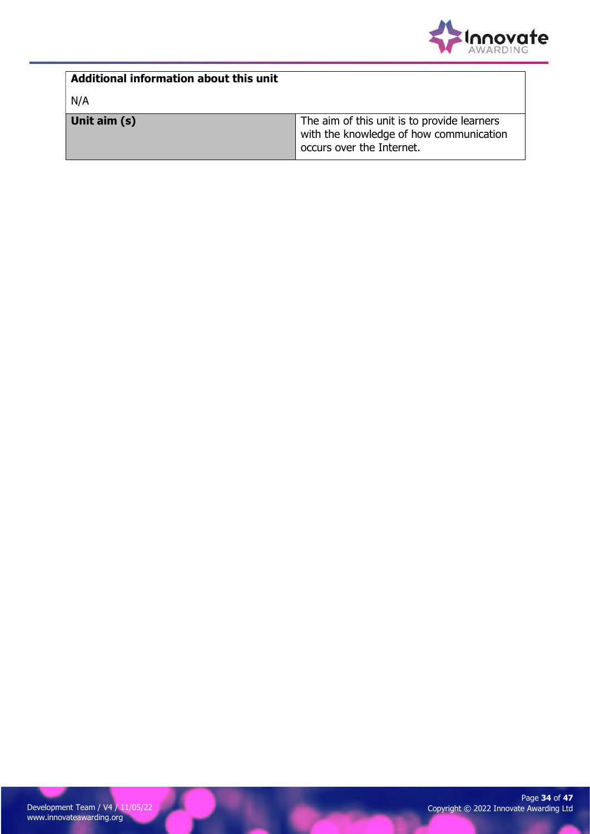

| Additional information about this unit |                                                                                                                     |
|----------------------------------------|---------------------------------------------------------------------------------------------------------------------|
| N/A                                    |                                                                                                                     |
| Unit aim (s)                           | The aim of this unit is to provide learners<br>with the knowledge of how communication<br>occurs over the Internet. |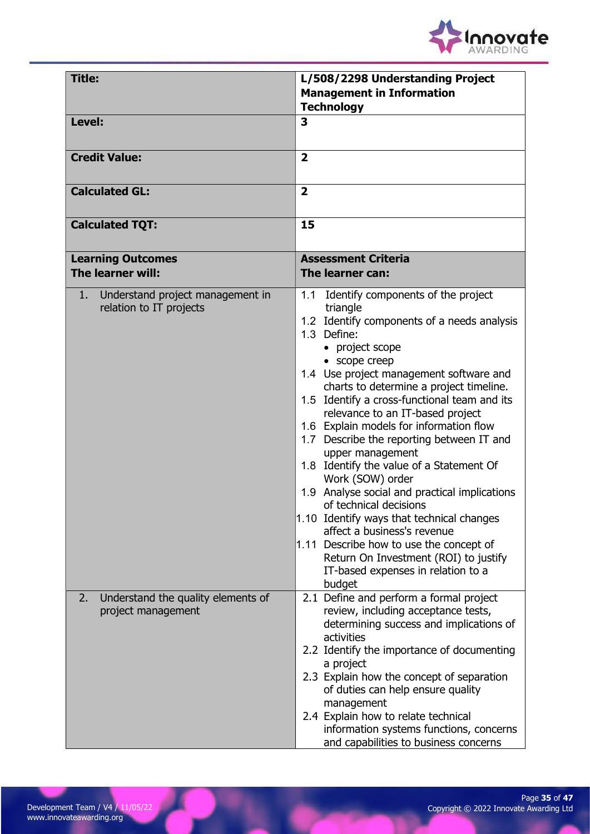

| <b>Title:</b>                                                        | L/508/2298 Understanding Project                                                                                                                                                                                                                                                                                                                                                                                                                                                                                                                                                                                                                                                                                                                                                                      |
|----------------------------------------------------------------------|-------------------------------------------------------------------------------------------------------------------------------------------------------------------------------------------------------------------------------------------------------------------------------------------------------------------------------------------------------------------------------------------------------------------------------------------------------------------------------------------------------------------------------------------------------------------------------------------------------------------------------------------------------------------------------------------------------------------------------------------------------------------------------------------------------|
|                                                                      | <b>Management in Information</b><br><b>Technology</b>                                                                                                                                                                                                                                                                                                                                                                                                                                                                                                                                                                                                                                                                                                                                                 |
| Level:                                                               | 3                                                                                                                                                                                                                                                                                                                                                                                                                                                                                                                                                                                                                                                                                                                                                                                                     |
| <b>Credit Value:</b>                                                 | $\overline{2}$                                                                                                                                                                                                                                                                                                                                                                                                                                                                                                                                                                                                                                                                                                                                                                                        |
| <b>Calculated GL:</b>                                                | $\overline{2}$                                                                                                                                                                                                                                                                                                                                                                                                                                                                                                                                                                                                                                                                                                                                                                                        |
| <b>Calculated TQT:</b>                                               | 15                                                                                                                                                                                                                                                                                                                                                                                                                                                                                                                                                                                                                                                                                                                                                                                                    |
| <b>Learning Outcomes</b><br>The learner will:                        | <b>Assessment Criteria</b><br>The learner can:                                                                                                                                                                                                                                                                                                                                                                                                                                                                                                                                                                                                                                                                                                                                                        |
| Understand project management in<br>$1$ .<br>relation to IT projects | 1.1 Identify components of the project<br>triangle<br>1.2 Identify components of a needs analysis<br>1.3 Define:<br>• project scope<br>• scope creep<br>1.4 Use project management software and<br>charts to determine a project timeline.<br>1.5 Identify a cross-functional team and its<br>relevance to an IT-based project<br>1.6 Explain models for information flow<br>1.7 Describe the reporting between IT and<br>upper management<br>1.8 Identify the value of a Statement Of<br>Work (SOW) order<br>1.9 Analyse social and practical implications<br>of technical decisions<br>1.10 Identify ways that technical changes<br>affect a business's revenue<br>1.11 Describe how to use the concept of<br>Return On Investment (ROI) to justify<br>IT-based expenses in relation to a<br>budget |
| Understand the quality elements of<br>2.<br>project management       | 2.1 Define and perform a formal project<br>review, including acceptance tests,<br>determining success and implications of<br>activities<br>2.2 Identify the importance of documenting<br>a project<br>2.3 Explain how the concept of separation<br>of duties can help ensure quality<br>management<br>2.4 Explain how to relate technical<br>information systems functions, concerns<br>and capabilities to business concerns                                                                                                                                                                                                                                                                                                                                                                         |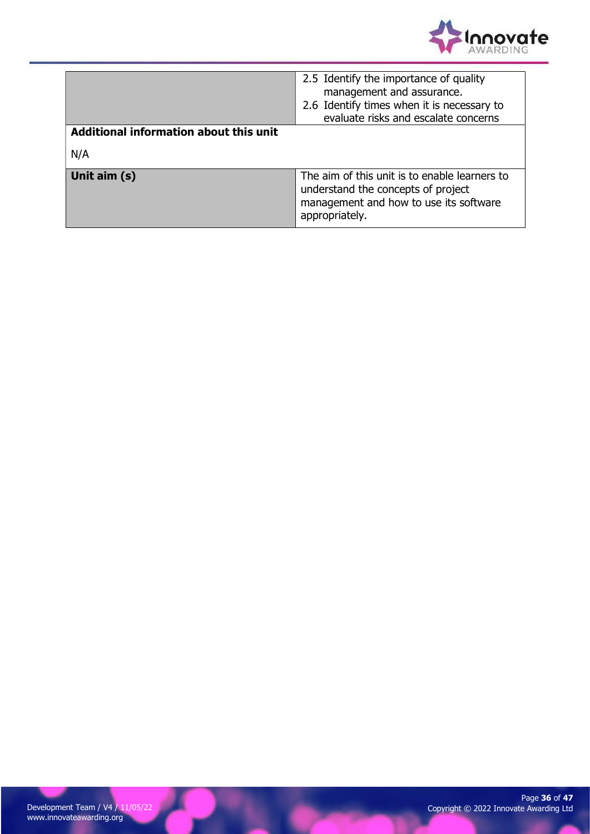

|                                        | 2.5 Identify the importance of quality<br>management and assurance.<br>2.6 Identify times when it is necessary to<br>evaluate risks and escalate concerns |
|----------------------------------------|-----------------------------------------------------------------------------------------------------------------------------------------------------------|
| Additional information about this unit |                                                                                                                                                           |
| N/A                                    |                                                                                                                                                           |
| Unit aim (s)                           | The aim of this unit is to enable learners to<br>understand the concepts of project<br>management and how to use its software<br>appropriately.           |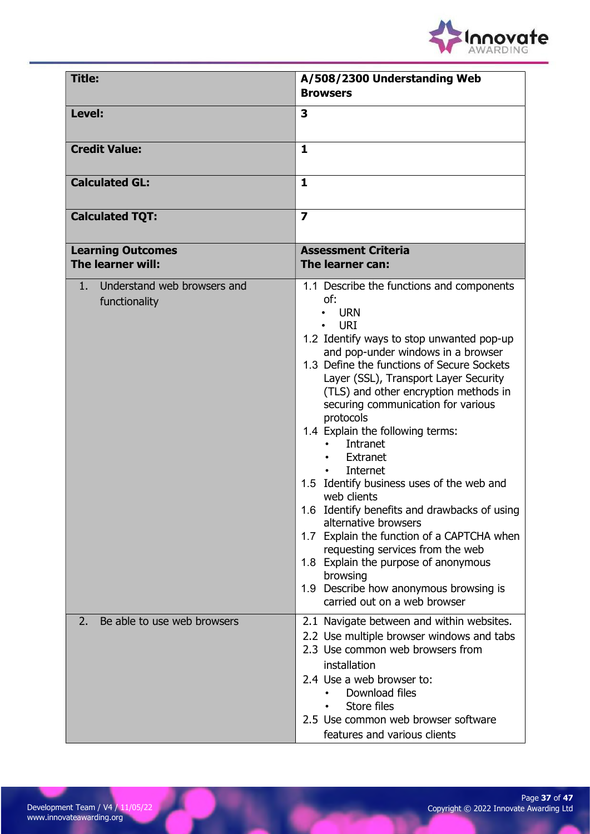

| <b>Title:</b>                                     | A/508/2300 Understanding Web<br><b>Browsers</b>                                                                                                                                                                                                                                                                                                                                                                                                                                                                                                                                                                                                                                                                                                                                |
|---------------------------------------------------|--------------------------------------------------------------------------------------------------------------------------------------------------------------------------------------------------------------------------------------------------------------------------------------------------------------------------------------------------------------------------------------------------------------------------------------------------------------------------------------------------------------------------------------------------------------------------------------------------------------------------------------------------------------------------------------------------------------------------------------------------------------------------------|
| Level:                                            | 3                                                                                                                                                                                                                                                                                                                                                                                                                                                                                                                                                                                                                                                                                                                                                                              |
| <b>Credit Value:</b>                              | $\mathbf{1}$                                                                                                                                                                                                                                                                                                                                                                                                                                                                                                                                                                                                                                                                                                                                                                   |
| <b>Calculated GL:</b>                             | $\mathbf{1}$                                                                                                                                                                                                                                                                                                                                                                                                                                                                                                                                                                                                                                                                                                                                                                   |
| <b>Calculated TQT:</b>                            | $\overline{\mathbf{z}}$                                                                                                                                                                                                                                                                                                                                                                                                                                                                                                                                                                                                                                                                                                                                                        |
| <b>Learning Outcomes</b><br>The learner will:     | <b>Assessment Criteria</b><br>The learner can:                                                                                                                                                                                                                                                                                                                                                                                                                                                                                                                                                                                                                                                                                                                                 |
| Understand web browsers and<br>1<br>functionality | 1.1 Describe the functions and components<br>of:<br><b>URN</b><br><b>URI</b><br>1.2 Identify ways to stop unwanted pop-up<br>and pop-under windows in a browser<br>1.3 Define the functions of Secure Sockets<br>Layer (SSL), Transport Layer Security<br>(TLS) and other encryption methods in<br>securing communication for various<br>protocols<br>1.4 Explain the following terms:<br>Intranet<br>Extranet<br>Internet<br>1.5 Identify business uses of the web and<br>web clients<br>1.6 Identify benefits and drawbacks of using<br>alternative browsers<br>1.7 Explain the function of a CAPTCHA when<br>requesting services from the web<br>1.8 Explain the purpose of anonymous<br>browsing<br>1.9 Describe how anonymous browsing is<br>carried out on a web browser |
| Be able to use web browsers<br>2.                 | 2.1 Navigate between and within websites.<br>2.2 Use multiple browser windows and tabs<br>2.3 Use common web browsers from<br>installation<br>2.4 Use a web browser to:<br>Download files<br>Store files<br>2.5 Use common web browser software<br>features and various clients                                                                                                                                                                                                                                                                                                                                                                                                                                                                                                |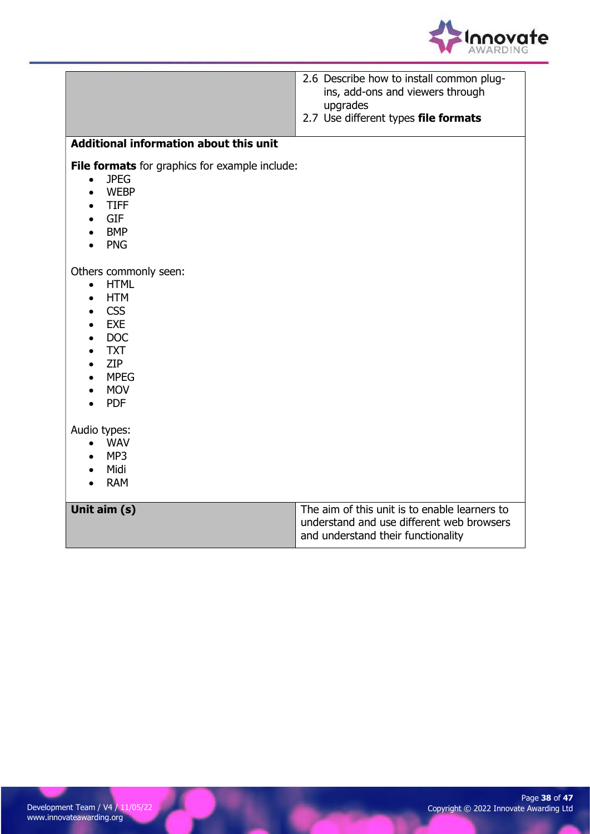

| Additional information about this unit                                                                                                                                                                                                            | 2.6 Describe how to install common plug-<br>ins, add-ons and viewers through<br>upgrades<br>2.7 Use different types file formats |
|---------------------------------------------------------------------------------------------------------------------------------------------------------------------------------------------------------------------------------------------------|----------------------------------------------------------------------------------------------------------------------------------|
|                                                                                                                                                                                                                                                   |                                                                                                                                  |
| File formats for graphics for example include:<br><b>JPEG</b><br>$\bullet$<br><b>WEBP</b><br>$\bullet$<br><b>TIFF</b><br>$\bullet$<br>GIF<br>$\bullet$<br><b>BMP</b><br>$\bullet$<br><b>PNG</b>                                                   |                                                                                                                                  |
| Others commonly seen:<br><b>HTML</b><br>$\bullet$<br><b>HTM</b><br>$\bullet$<br><b>CSS</b><br>$\bullet$<br><b>EXE</b><br>$\bullet$<br><b>DOC</b><br>$\bullet$<br><b>TXT</b><br><b>ZIP</b><br>$\bullet$<br><b>MPEG</b><br><b>MOV</b><br><b>PDF</b> |                                                                                                                                  |
| Audio types:<br>$\bullet$ WAV<br>MP3<br>Midi<br><b>RAM</b>                                                                                                                                                                                        |                                                                                                                                  |
| Unit aim (s)                                                                                                                                                                                                                                      | The aim of this unit is to enable learners to<br>understand and use different web browsers<br>and understand their functionality |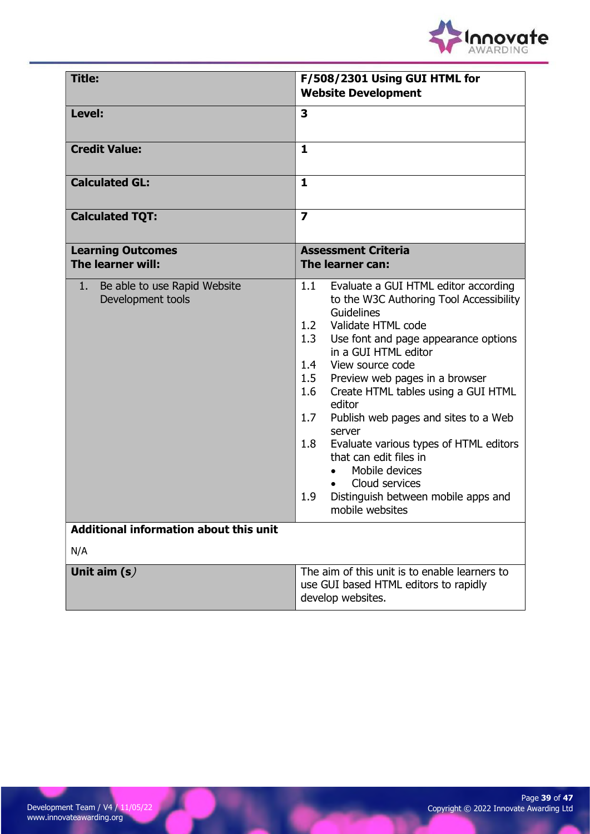

| <b>Title:</b>                                           | F/508/2301 Using GUI HTML for<br><b>Website Development</b>                                                                                                                                                                                                                                                                                                                                                                                                                                                                                                                                |
|---------------------------------------------------------|--------------------------------------------------------------------------------------------------------------------------------------------------------------------------------------------------------------------------------------------------------------------------------------------------------------------------------------------------------------------------------------------------------------------------------------------------------------------------------------------------------------------------------------------------------------------------------------------|
| Level:                                                  | 3                                                                                                                                                                                                                                                                                                                                                                                                                                                                                                                                                                                          |
| <b>Credit Value:</b>                                    | $\mathbf{1}$                                                                                                                                                                                                                                                                                                                                                                                                                                                                                                                                                                               |
| <b>Calculated GL:</b>                                   | $\mathbf{1}$                                                                                                                                                                                                                                                                                                                                                                                                                                                                                                                                                                               |
| <b>Calculated TQT:</b>                                  | $\overline{\mathbf{z}}$                                                                                                                                                                                                                                                                                                                                                                                                                                                                                                                                                                    |
| <b>Learning Outcomes</b><br>The learner will:           | <b>Assessment Criteria</b><br>The learner can:                                                                                                                                                                                                                                                                                                                                                                                                                                                                                                                                             |
| 1.<br>Be able to use Rapid Website<br>Development tools | 1.1<br>Evaluate a GUI HTML editor according<br>to the W3C Authoring Tool Accessibility<br>Guidelines<br>Validate HTML code<br>1.2<br>1.3<br>Use font and page appearance options<br>in a GUI HTML editor<br>1.4<br>View source code<br>Preview web pages in a browser<br>1.5<br>1.6<br>Create HTML tables using a GUI HTML<br>editor<br>1.7<br>Publish web pages and sites to a Web<br>server<br>Evaluate various types of HTML editors<br>1.8<br>that can edit files in<br>Mobile devices<br>$\bullet$<br>Cloud services<br>1.9<br>Distinguish between mobile apps and<br>mobile websites |
| Additional information about this unit<br>N/A           |                                                                                                                                                                                                                                                                                                                                                                                                                                                                                                                                                                                            |
| Unit aim $(s)$                                          | The aim of this unit is to enable learners to<br>use GUI based HTML editors to rapidly<br>develop websites.                                                                                                                                                                                                                                                                                                                                                                                                                                                                                |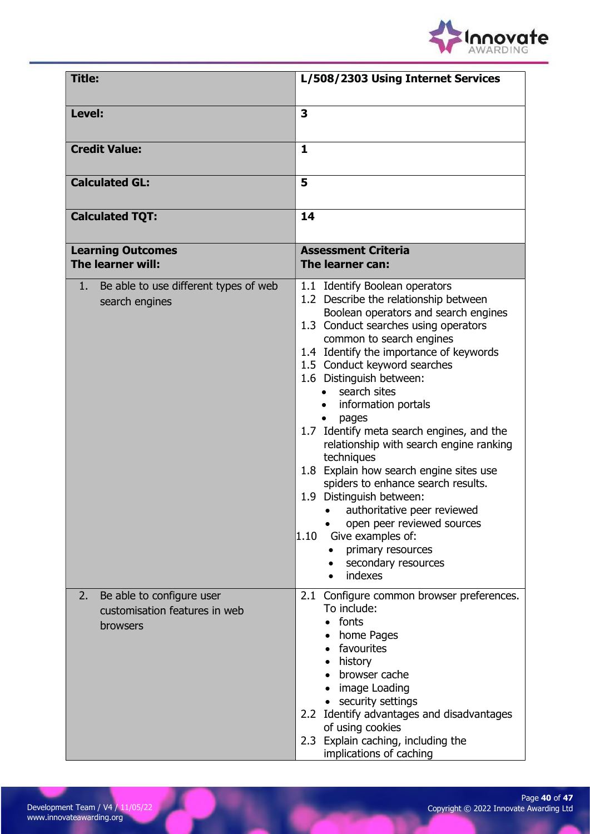

| <b>Title:</b>                                                                       | L/508/2303 Using Internet Services                                                                                                                                                                                                                                                                                                                                                                                                                                                                                                                                                                                                                                                                                         |
|-------------------------------------------------------------------------------------|----------------------------------------------------------------------------------------------------------------------------------------------------------------------------------------------------------------------------------------------------------------------------------------------------------------------------------------------------------------------------------------------------------------------------------------------------------------------------------------------------------------------------------------------------------------------------------------------------------------------------------------------------------------------------------------------------------------------------|
| Level:                                                                              | $\overline{\mathbf{3}}$                                                                                                                                                                                                                                                                                                                                                                                                                                                                                                                                                                                                                                                                                                    |
| <b>Credit Value:</b>                                                                | $\mathbf{1}$                                                                                                                                                                                                                                                                                                                                                                                                                                                                                                                                                                                                                                                                                                               |
| <b>Calculated GL:</b>                                                               | 5                                                                                                                                                                                                                                                                                                                                                                                                                                                                                                                                                                                                                                                                                                                          |
| <b>Calculated TQT:</b>                                                              | 14                                                                                                                                                                                                                                                                                                                                                                                                                                                                                                                                                                                                                                                                                                                         |
| <b>Learning Outcomes</b><br>The learner will:                                       | <b>Assessment Criteria</b><br>The learner can:                                                                                                                                                                                                                                                                                                                                                                                                                                                                                                                                                                                                                                                                             |
| Be able to use different types of web<br>1.<br>search engines                       | 1.1 Identify Boolean operators<br>1.2 Describe the relationship between<br>Boolean operators and search engines<br>1.3 Conduct searches using operators<br>common to search engines<br>1.4 Identify the importance of keywords<br>1.5 Conduct keyword searches<br>1.6 Distinguish between:<br>search sites<br>information portals<br>pages<br>1.7 Identify meta search engines, and the<br>relationship with search engine ranking<br>techniques<br>1.8 Explain how search engine sites use<br>spiders to enhance search results.<br>1.9 Distinguish between:<br>• authoritative peer reviewed<br>open peer reviewed sources<br>Give examples of:<br>$ 1.10\rangle$<br>primary resources<br>secondary resources<br>indexes |
| Be able to configure user<br>2.<br>customisation features in web<br><b>browsers</b> | 2.1 Configure common browser preferences.<br>To include:<br>fonts<br>home Pages<br>• favourites<br>history<br>browser cache<br>• image Loading<br>• security settings<br>2.2 Identify advantages and disadvantages<br>of using cookies<br>2.3 Explain caching, including the<br>implications of caching                                                                                                                                                                                                                                                                                                                                                                                                                    |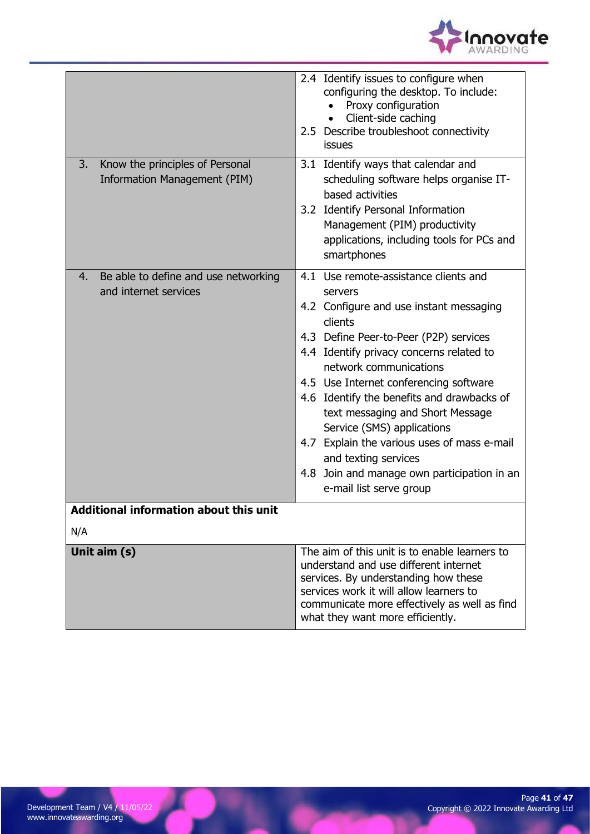

| Know the principles of Personal<br>3.<br>Information Management (PIM) | 2.4 Identify issues to configure when<br>configuring the desktop. To include:<br>Proxy configuration<br>Client-side caching<br>2.5 Describe troubleshoot connectivity<br>issues<br>3.1 Identify ways that calendar and<br>scheduling software helps organise IT-<br>based activities<br>3.2 Identify Personal Information<br>Management (PIM) productivity<br>applications, including tools for PCs and                                                                                                                              |
|-----------------------------------------------------------------------|--------------------------------------------------------------------------------------------------------------------------------------------------------------------------------------------------------------------------------------------------------------------------------------------------------------------------------------------------------------------------------------------------------------------------------------------------------------------------------------------------------------------------------------|
|                                                                       | smartphones                                                                                                                                                                                                                                                                                                                                                                                                                                                                                                                          |
| Be able to define and use networking<br>4.<br>and internet services   | 4.1 Use remote-assistance clients and<br>servers<br>4.2 Configure and use instant messaging<br>clients<br>4.3 Define Peer-to-Peer (P2P) services<br>4.4 Identify privacy concerns related to<br>network communications<br>4.5 Use Internet conferencing software<br>4.6 Identify the benefits and drawbacks of<br>text messaging and Short Message<br>Service (SMS) applications<br>4.7 Explain the various uses of mass e-mail<br>and texting services<br>Join and manage own participation in an<br>4.8<br>e-mail list serve group |
| <b>Additional information about this unit</b>                         |                                                                                                                                                                                                                                                                                                                                                                                                                                                                                                                                      |
| N/A                                                                   |                                                                                                                                                                                                                                                                                                                                                                                                                                                                                                                                      |
| Unit aim (s)                                                          | The aim of this unit is to enable learners to<br>understand and use different internet<br>services. By understanding how these<br>services work it will allow learners to<br>communicate more effectively as well as find<br>what they want more efficiently.                                                                                                                                                                                                                                                                        |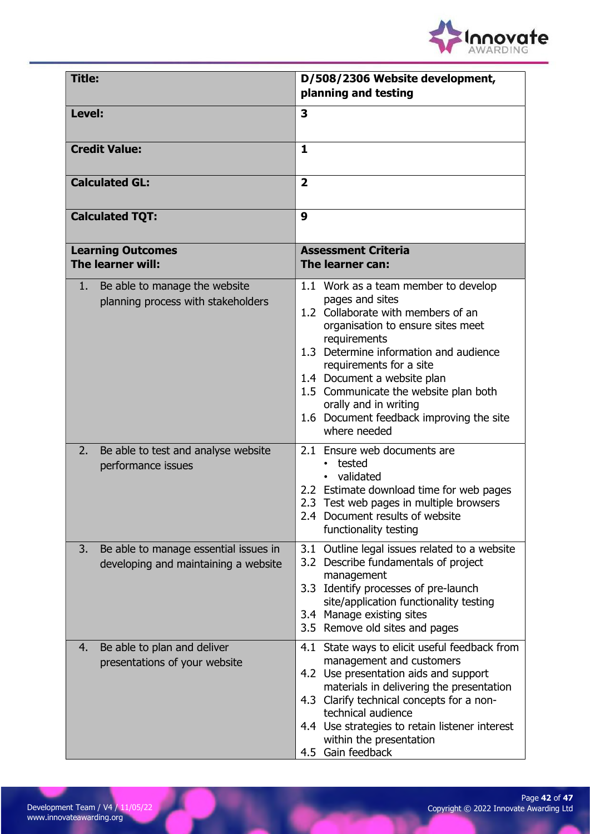

| <b>Title:</b>                                                                       | D/508/2306 Website development,<br>planning and testing                                                                                                                                                                                                                                                                                                                              |
|-------------------------------------------------------------------------------------|--------------------------------------------------------------------------------------------------------------------------------------------------------------------------------------------------------------------------------------------------------------------------------------------------------------------------------------------------------------------------------------|
| Level:                                                                              | 3                                                                                                                                                                                                                                                                                                                                                                                    |
| <b>Credit Value:</b>                                                                | 1                                                                                                                                                                                                                                                                                                                                                                                    |
| <b>Calculated GL:</b>                                                               | $\overline{2}$                                                                                                                                                                                                                                                                                                                                                                       |
| <b>Calculated TQT:</b>                                                              | 9                                                                                                                                                                                                                                                                                                                                                                                    |
| <b>Learning Outcomes</b><br>The learner will:                                       | <b>Assessment Criteria</b><br>The learner can:                                                                                                                                                                                                                                                                                                                                       |
| Be able to manage the website<br>1.<br>planning process with stakeholders           | 1.1 Work as a team member to develop<br>pages and sites<br>1.2 Collaborate with members of an<br>organisation to ensure sites meet<br>requirements<br>1.3 Determine information and audience<br>requirements for a site<br>1.4 Document a website plan<br>1.5 Communicate the website plan both<br>orally and in writing<br>1.6 Document feedback improving the site<br>where needed |
| Be able to test and analyse website<br>2.<br>performance issues                     | 2.1 Ensure web documents are<br>tested<br>validated<br>2.2 Estimate download time for web pages<br>2.3 Test web pages in multiple browsers<br>2.4 Document results of website<br>functionality testing                                                                                                                                                                               |
| Be able to manage essential issues in<br>3.<br>developing and maintaining a website | 3.1 Outline legal issues related to a website<br>3.2 Describe fundamentals of project<br>management<br>3.3 Identify processes of pre-launch<br>site/application functionality testing<br>3.4 Manage existing sites<br>3.5 Remove old sites and pages                                                                                                                                 |
| Be able to plan and deliver<br>4.<br>presentations of your website                  | 4.1 State ways to elicit useful feedback from<br>management and customers<br>4.2 Use presentation aids and support<br>materials in delivering the presentation<br>4.3 Clarify technical concepts for a non-<br>technical audience<br>4.4 Use strategies to retain listener interest<br>within the presentation<br>4.5 Gain feedback                                                  |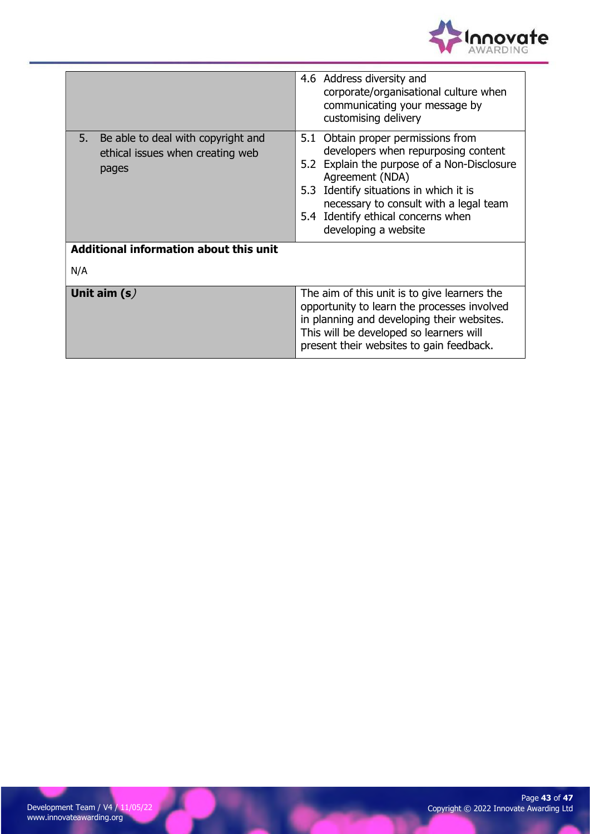

|                                                                                    | 4.6 Address diversity and<br>corporate/organisational culture when<br>communicating your message by<br>customising delivery                                                                                                                                                                   |
|------------------------------------------------------------------------------------|-----------------------------------------------------------------------------------------------------------------------------------------------------------------------------------------------------------------------------------------------------------------------------------------------|
| 5. Be able to deal with copyright and<br>ethical issues when creating web<br>pages | 5.1 Obtain proper permissions from<br>developers when repurposing content<br>5.2 Explain the purpose of a Non-Disclosure<br>Agreement (NDA)<br>5.3 Identify situations in which it is<br>necessary to consult with a legal team<br>5.4 Identify ethical concerns when<br>developing a website |
| <b>Additional information about this unit</b>                                      |                                                                                                                                                                                                                                                                                               |
| N/A                                                                                |                                                                                                                                                                                                                                                                                               |
| Unit aim $(s)$                                                                     | The aim of this unit is to give learners the<br>opportunity to learn the processes involved<br>in planning and developing their websites.<br>This will be developed so learners will<br>present their websites to gain feedback.                                                              |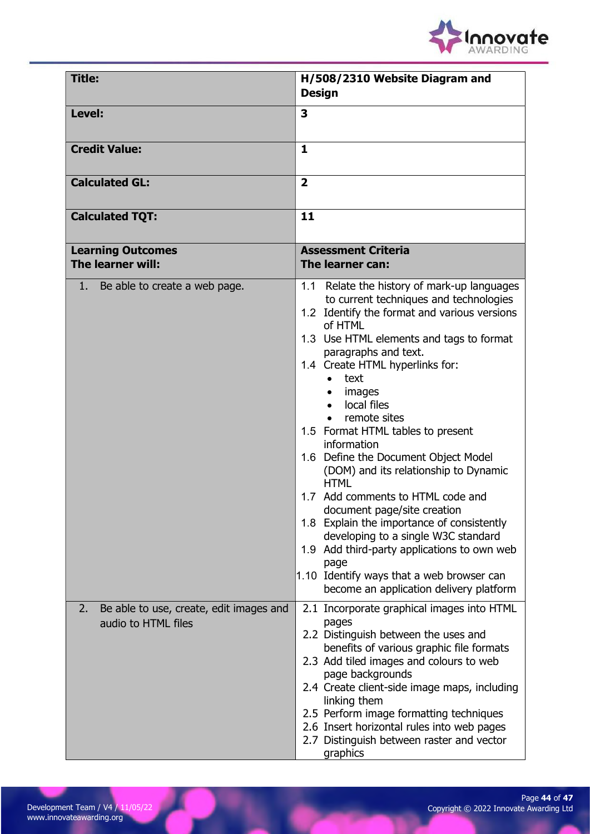

| <b>Title:</b>                                                        | H/508/2310 Website Diagram and<br><b>Design</b>                                                                                                                                                                                                                                                                                                                                                                                                                                                                                                                                                                                                                                                                                                                                                |
|----------------------------------------------------------------------|------------------------------------------------------------------------------------------------------------------------------------------------------------------------------------------------------------------------------------------------------------------------------------------------------------------------------------------------------------------------------------------------------------------------------------------------------------------------------------------------------------------------------------------------------------------------------------------------------------------------------------------------------------------------------------------------------------------------------------------------------------------------------------------------|
| Level:                                                               | 3                                                                                                                                                                                                                                                                                                                                                                                                                                                                                                                                                                                                                                                                                                                                                                                              |
| <b>Credit Value:</b>                                                 | 1                                                                                                                                                                                                                                                                                                                                                                                                                                                                                                                                                                                                                                                                                                                                                                                              |
| <b>Calculated GL:</b>                                                | $\overline{2}$                                                                                                                                                                                                                                                                                                                                                                                                                                                                                                                                                                                                                                                                                                                                                                                 |
| <b>Calculated TQT:</b>                                               | 11                                                                                                                                                                                                                                                                                                                                                                                                                                                                                                                                                                                                                                                                                                                                                                                             |
| <b>Learning Outcomes</b><br>The learner will:                        | <b>Assessment Criteria</b><br>The learner can:                                                                                                                                                                                                                                                                                                                                                                                                                                                                                                                                                                                                                                                                                                                                                 |
| 1. Be able to create a web page.                                     | 1.1 Relate the history of mark-up languages<br>to current techniques and technologies<br>1.2 Identify the format and various versions<br>of HTML<br>1.3 Use HTML elements and tags to format<br>paragraphs and text.<br>1.4 Create HTML hyperlinks for:<br>text<br>$\bullet$<br>images<br>local files<br>$\bullet$<br>remote sites<br>1.5 Format HTML tables to present<br>information<br>1.6 Define the Document Object Model<br>(DOM) and its relationship to Dynamic<br><b>HTML</b><br>1.7 Add comments to HTML code and<br>document page/site creation<br>1.8 Explain the importance of consistently<br>developing to a single W3C standard<br>1.9 Add third-party applications to own web<br>page<br>1.10 Identify ways that a web browser can<br>become an application delivery platform |
| Be able to use, create, edit images and<br>2.<br>audio to HTML files | 2.1 Incorporate graphical images into HTML<br>pages<br>2.2 Distinguish between the uses and<br>benefits of various graphic file formats<br>2.3 Add tiled images and colours to web<br>page backgrounds<br>2.4 Create client-side image maps, including<br>linking them<br>2.5 Perform image formatting techniques<br>2.6 Insert horizontal rules into web pages<br>2.7 Distinguish between raster and vector<br>graphics                                                                                                                                                                                                                                                                                                                                                                       |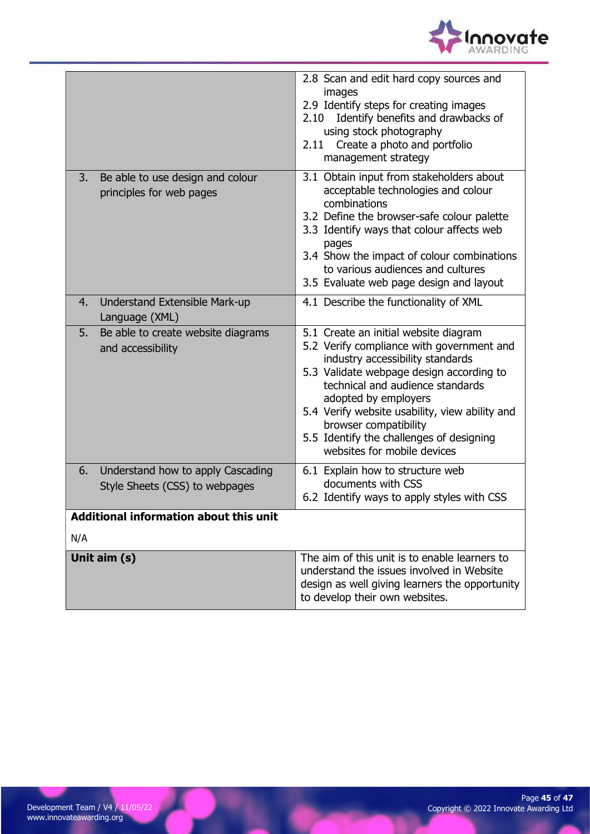

|     | Unit aim (s)                                                              | The aim of this unit is to enable learners to<br>understand the issues involved in Website<br>design as well giving learners the opportunity<br>to develop their own websites.                                                                                                                                                                                                       |
|-----|---------------------------------------------------------------------------|--------------------------------------------------------------------------------------------------------------------------------------------------------------------------------------------------------------------------------------------------------------------------------------------------------------------------------------------------------------------------------------|
| N/A |                                                                           |                                                                                                                                                                                                                                                                                                                                                                                      |
|     | <b>Additional information about this unit</b>                             |                                                                                                                                                                                                                                                                                                                                                                                      |
| 6.  | Understand how to apply Cascading<br>Style Sheets (CSS) to webpages       | 6.1 Explain how to structure web<br>documents with CSS<br>6.2 Identify ways to apply styles with CSS                                                                                                                                                                                                                                                                                 |
| 5.  | Language (XML)<br>Be able to create website diagrams<br>and accessibility | 5.1 Create an initial website diagram<br>5.2 Verify compliance with government and<br>industry accessibility standards<br>5.3 Validate webpage design according to<br>technical and audience standards<br>adopted by employers<br>5.4 Verify website usability, view ability and<br>browser compatibility<br>5.5 Identify the challenges of designing<br>websites for mobile devices |
| 4.  | Understand Extensible Mark-up                                             | 4.1 Describe the functionality of XML                                                                                                                                                                                                                                                                                                                                                |
| 3.  | Be able to use design and colour<br>principles for web pages              | management strategy<br>3.1 Obtain input from stakeholders about<br>acceptable technologies and colour<br>combinations<br>3.2 Define the browser-safe colour palette<br>3.3 Identify ways that colour affects web<br>pages<br>3.4 Show the impact of colour combinations<br>to various audiences and cultures<br>3.5 Evaluate web page design and layout                              |
|     |                                                                           | 2.8 Scan and edit hard copy sources and<br>images<br>2.9 Identify steps for creating images<br>Identify benefits and drawbacks of<br>2.10<br>using stock photography<br>2.11 Create a photo and portfolio                                                                                                                                                                            |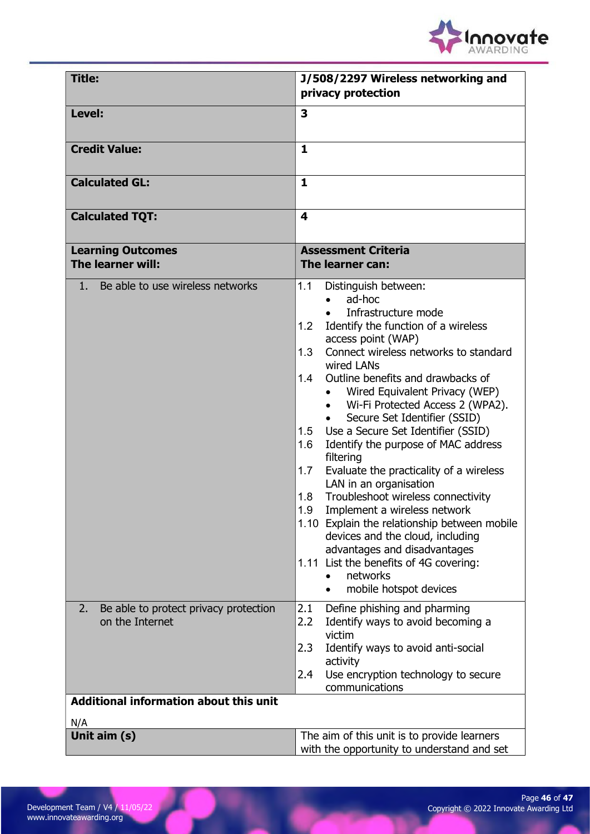

| <b>Title:</b>                                                  | J/508/2297 Wireless networking and<br>privacy protection                                                                                                                                                                                                                                                                                                                                                                                                                                                                                                                                                                                                                                                                                                                                                                     |
|----------------------------------------------------------------|------------------------------------------------------------------------------------------------------------------------------------------------------------------------------------------------------------------------------------------------------------------------------------------------------------------------------------------------------------------------------------------------------------------------------------------------------------------------------------------------------------------------------------------------------------------------------------------------------------------------------------------------------------------------------------------------------------------------------------------------------------------------------------------------------------------------------|
| Level:                                                         | 3                                                                                                                                                                                                                                                                                                                                                                                                                                                                                                                                                                                                                                                                                                                                                                                                                            |
| <b>Credit Value:</b>                                           | 1                                                                                                                                                                                                                                                                                                                                                                                                                                                                                                                                                                                                                                                                                                                                                                                                                            |
| <b>Calculated GL:</b>                                          | $\mathbf{1}$                                                                                                                                                                                                                                                                                                                                                                                                                                                                                                                                                                                                                                                                                                                                                                                                                 |
| <b>Calculated TQT:</b>                                         | 4                                                                                                                                                                                                                                                                                                                                                                                                                                                                                                                                                                                                                                                                                                                                                                                                                            |
| <b>Learning Outcomes</b><br>The learner will:                  | <b>Assessment Criteria</b><br>The learner can:                                                                                                                                                                                                                                                                                                                                                                                                                                                                                                                                                                                                                                                                                                                                                                               |
| 1. Be able to use wireless networks                            | 1.1<br>Distinguish between:<br>ad-hoc<br>Infrastructure mode<br>Identify the function of a wireless<br>1.2<br>access point (WAP)<br>1.3<br>Connect wireless networks to standard<br>wired LANs<br>1.4<br>Outline benefits and drawbacks of<br>Wired Equivalent Privacy (WEP)<br>Wi-Fi Protected Access 2 (WPA2).<br>Secure Set Identifier (SSID)<br>Use a Secure Set Identifier (SSID)<br>1.5<br>Identify the purpose of MAC address<br>1.6<br>filtering<br>Evaluate the practicality of a wireless<br>1.7<br>LAN in an organisation<br>Troubleshoot wireless connectivity<br>1.8<br>1.9<br>Implement a wireless network<br>1.10 Explain the relationship between mobile<br>devices and the cloud, including<br>advantages and disadvantages<br>1.11 List the benefits of 4G covering:<br>networks<br>mobile hotspot devices |
| Be able to protect privacy protection<br>2.<br>on the Internet | Define phishing and pharming<br>2.1<br>2.2<br>Identify ways to avoid becoming a<br>victim<br>2.3<br>Identify ways to avoid anti-social<br>activity<br>Use encryption technology to secure<br>2.4<br>communications                                                                                                                                                                                                                                                                                                                                                                                                                                                                                                                                                                                                           |
| <b>Additional information about this unit</b><br>N/A           |                                                                                                                                                                                                                                                                                                                                                                                                                                                                                                                                                                                                                                                                                                                                                                                                                              |
| Unit aim (s)                                                   | The aim of this unit is to provide learners<br>with the opportunity to understand and set                                                                                                                                                                                                                                                                                                                                                                                                                                                                                                                                                                                                                                                                                                                                    |